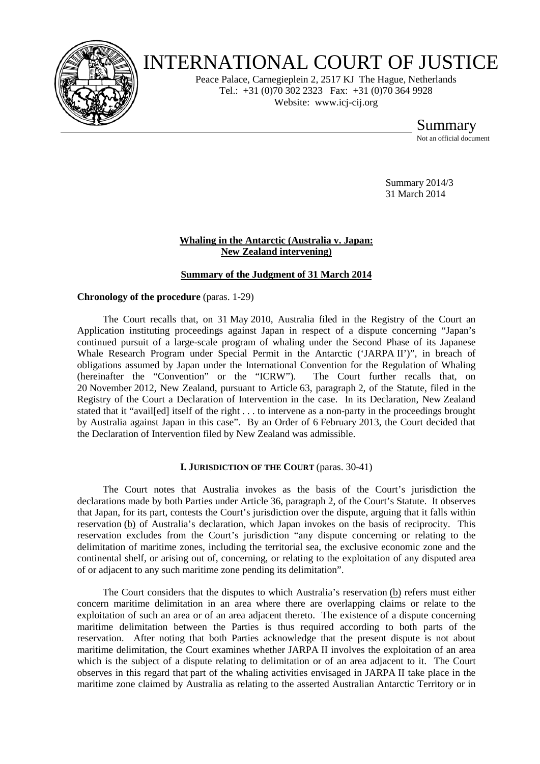

# INTERNATIONAL COURT OF JUSTICE

Peace Palace, Carnegieplein 2, 2517 KJ The Hague, Netherlands Tel.: +31 (0)70 302 2323 Fax: +31 (0)70 364 9928 Website: www.icj-cij.org

> Summary Not an official document

Summary 2014/3 31 March 2014

# **Whaling in the Antarctic (Australia v. Japan: New Zealand intervening)**

# **Summary of the Judgment of 31 March 2014**

# **Chronology of the procedure** (paras. 1-29)

The Court recalls that, on 31 May 2010, Australia filed in the Registry of the Court an Application instituting proceedings against Japan in respect of a dispute concerning "Japan's continued pursuit of a large-scale program of whaling under the Second Phase of its Japanese Whale Research Program under Special Permit in the Antarctic ('JARPA II')", in breach of obligations assumed by Japan under the International Convention for the Regulation of Whaling (hereinafter the "Convention" or the "ICRW"). The Court further recalls that, on 20 November 2012, New Zealand, pursuant to Article 63, paragraph 2, of the Statute, filed in the Registry of the Court a Declaration of Intervention in the case. In its Declaration, New Zealand stated that it "avail[ed] itself of the right . . . to intervene as a non-party in the proceedings brought by Australia against Japan in this case". By an Order of 6 February 2013, the Court decided that the Declaration of Intervention filed by New Zealand was admissible.

# **I. JURISDICTION OF THE COURT** (paras. 30-41)

The Court notes that Australia invokes as the basis of the Court's jurisdiction the declarations made by both Parties under Article 36, paragraph 2, of the Court's Statute. It observes that Japan, for its part, contests the Court's jurisdiction over the dispute, arguing that it falls within reservation (b) of Australia's declaration, which Japan invokes on the basis of reciprocity. This reservation excludes from the Court's jurisdiction "any dispute concerning or relating to the delimitation of maritime zones, including the territorial sea, the exclusive economic zone and the continental shelf, or arising out of, concerning, or relating to the exploitation of any disputed area of or adjacent to any such maritime zone pending its delimitation".

The Court considers that the disputes to which Australia's reservation (b) refers must either concern maritime delimitation in an area where there are overlapping claims or relate to the exploitation of such an area or of an area adjacent thereto. The existence of a dispute concerning maritime delimitation between the Parties is thus required according to both parts of the reservation. After noting that both Parties acknowledge that the present dispute is not about maritime delimitation, the Court examines whether JARPA II involves the exploitation of an area which is the subject of a dispute relating to delimitation or of an area adjacent to it. The Court observes in this regard that part of the whaling activities envisaged in JARPA II take place in the maritime zone claimed by Australia as relating to the asserted Australian Antarctic Territory or in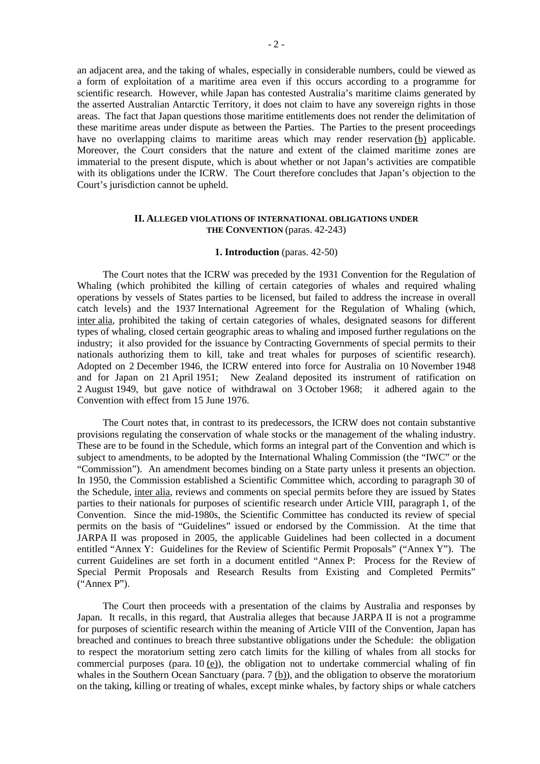an adjacent area, and the taking of whales, especially in considerable numbers, could be viewed as a form of exploitation of a maritime area even if this occurs according to a programme for scientific research. However, while Japan has contested Australia's maritime claims generated by the asserted Australian Antarctic Territory, it does not claim to have any sovereign rights in those areas. The fact that Japan questions those maritime entitlements does not render the delimitation of these maritime areas under dispute as between the Parties. The Parties to the present proceedings have no overlapping claims to maritime areas which may render reservation (b) applicable. Moreover, the Court considers that the nature and extent of the claimed maritime zones are immaterial to the present dispute, which is about whether or not Japan's activities are compatible with its obligations under the ICRW. The Court therefore concludes that Japan's objection to the Court's jurisdiction cannot be upheld.

#### **II. ALLEGED VIOLATIONS OF INTERNATIONAL OBLIGATIONS UNDER THE CONVENTION** (paras. 42-243)

#### **1. Introduction** (paras. 42-50)

The Court notes that the ICRW was preceded by the 1931 Convention for the Regulation of Whaling (which prohibited the killing of certain categories of whales and required whaling operations by vessels of States parties to be licensed, but failed to address the increase in overall catch levels) and the 1937 International Agreement for the Regulation of Whaling (which, inter alia, prohibited the taking of certain categories of whales, designated seasons for different types of whaling, closed certain geographic areas to whaling and imposed further regulations on the industry; it also provided for the issuance by Contracting Governments of special permits to their nationals authorizing them to kill, take and treat whales for purposes of scientific research). Adopted on 2 December 1946, the ICRW entered into force for Australia on 10 November 1948 and for Japan on 21 April 1951; New Zealand deposited its instrument of ratification on 2 August 1949, but gave notice of withdrawal on 3 October 1968; it adhered again to the Convention with effect from 15 June 1976.

The Court notes that, in contrast to its predecessors, the ICRW does not contain substantive provisions regulating the conservation of whale stocks or the management of the whaling industry. These are to be found in the Schedule, which forms an integral part of the Convention and which is subject to amendments, to be adopted by the International Whaling Commission (the "IWC" or the "Commission"). An amendment becomes binding on a State party unless it presents an objection. In 1950, the Commission established a Scientific Committee which, according to paragraph 30 of the Schedule, inter alia, reviews and comments on special permits before they are issued by States parties to their nationals for purposes of scientific research under Article VIII, paragraph 1, of the Convention. Since the mid-1980s, the Scientific Committee has conducted its review of special permits on the basis of "Guidelines" issued or endorsed by the Commission. At the time that JARPA II was proposed in 2005, the applicable Guidelines had been collected in a document entitled "Annex Y: Guidelines for the Review of Scientific Permit Proposals" ("Annex Y"). The current Guidelines are set forth in a document entitled "Annex P: Process for the Review of Special Permit Proposals and Research Results from Existing and Completed Permits" ("Annex P").

The Court then proceeds with a presentation of the claims by Australia and responses by Japan. It recalls, in this regard, that Australia alleges that because JARPA II is not a programme for purposes of scientific research within the meaning of Article VIII of the Convention, Japan has breached and continues to breach three substantive obligations under the Schedule: the obligation to respect the moratorium setting zero catch limits for the killing of whales from all stocks for commercial purposes (para. 10 (e)), the obligation not to undertake commercial whaling of fin whales in the Southern Ocean Sanctuary (para. 7 (b)), and the obligation to observe the moratorium on the taking, killing or treating of whales, except minke whales, by factory ships or whale catchers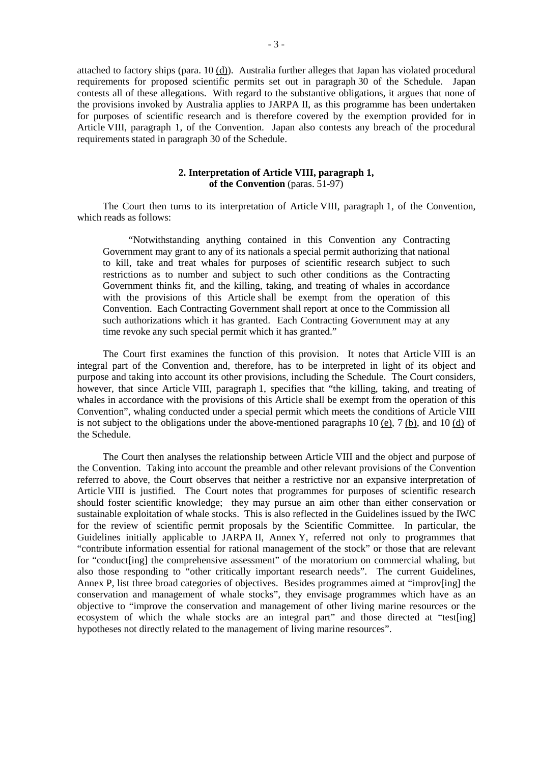attached to factory ships (para.  $10$  (d)). Australia further alleges that Japan has violated procedural requirements for proposed scientific permits set out in paragraph 30 of the Schedule. Japan contests all of these allegations. With regard to the substantive obligations, it argues that none of the provisions invoked by Australia applies to JARPA II, as this programme has been undertaken for purposes of scientific research and is therefore covered by the exemption provided for in Article VIII, paragraph 1, of the Convention. Japan also contests any breach of the procedural requirements stated in paragraph 30 of the Schedule.

## **2. Interpretation of Article VIII, paragraph 1, of the Convention** (paras. 51-97)

The Court then turns to its interpretation of Article VIII, paragraph 1, of the Convention, which reads as follows:

"Notwithstanding anything contained in this Convention any Contracting Government may grant to any of its nationals a special permit authorizing that national to kill, take and treat whales for purposes of scientific research subject to such restrictions as to number and subject to such other conditions as the Contracting Government thinks fit, and the killing, taking, and treating of whales in accordance with the provisions of this Article shall be exempt from the operation of this Convention. Each Contracting Government shall report at once to the Commission all such authorizations which it has granted. Each Contracting Government may at any time revoke any such special permit which it has granted."

The Court first examines the function of this provision. It notes that Article VIII is an integral part of the Convention and, therefore, has to be interpreted in light of its object and purpose and taking into account its other provisions, including the Schedule. The Court considers, however, that since Article VIII, paragraph 1, specifies that "the killing, taking, and treating of whales in accordance with the provisions of this Article shall be exempt from the operation of this Convention", whaling conducted under a special permit which meets the conditions of Article VIII is not subject to the obligations under the above-mentioned paragraphs 10 (e), 7 (b), and 10 (d) of the Schedule.

The Court then analyses the relationship between Article VIII and the object and purpose of the Convention. Taking into account the preamble and other relevant provisions of the Convention referred to above, the Court observes that neither a restrictive nor an expansive interpretation of Article VIII is justified. The Court notes that programmes for purposes of scientific research should foster scientific knowledge; they may pursue an aim other than either conservation or sustainable exploitation of whale stocks. This is also reflected in the Guidelines issued by the IWC for the review of scientific permit proposals by the Scientific Committee. In particular, the Guidelines initially applicable to JARPA II, Annex Y, referred not only to programmes that "contribute information essential for rational management of the stock" or those that are relevant for "conduct[ing] the comprehensive assessment" of the moratorium on commercial whaling, but also those responding to "other critically important research needs". The current Guidelines, Annex P, list three broad categories of objectives. Besides programmes aimed at "improv[ing] the conservation and management of whale stocks", they envisage programmes which have as an objective to "improve the conservation and management of other living marine resources or the ecosystem of which the whale stocks are an integral part" and those directed at "test[ing] hypotheses not directly related to the management of living marine resources".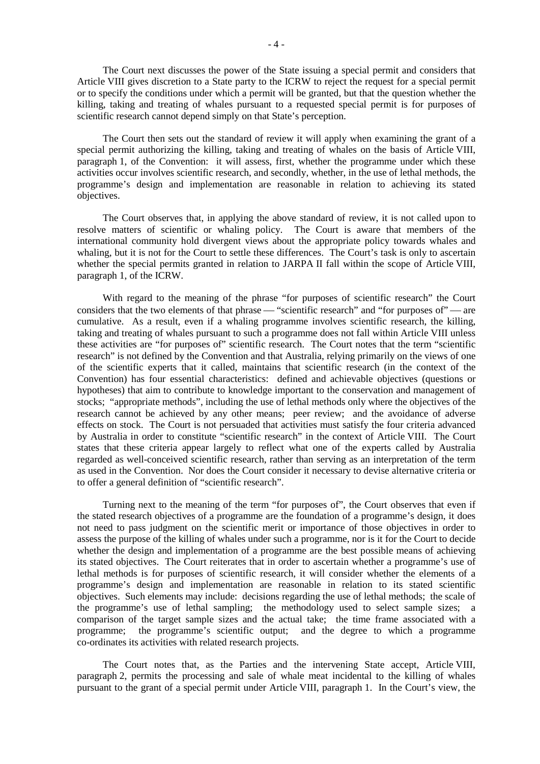The Court next discusses the power of the State issuing a special permit and considers that Article VIII gives discretion to a State party to the ICRW to reject the request for a special permit or to specify the conditions under which a permit will be granted, but that the question whether the killing, taking and treating of whales pursuant to a requested special permit is for purposes of scientific research cannot depend simply on that State's perception.

The Court then sets out the standard of review it will apply when examining the grant of a special permit authorizing the killing, taking and treating of whales on the basis of Article VIII, paragraph 1, of the Convention: it will assess, first, whether the programme under which these activities occur involves scientific research, and secondly, whether, in the use of lethal methods, the programme's design and implementation are reasonable in relation to achieving its stated objectives.

The Court observes that, in applying the above standard of review, it is not called upon to resolve matters of scientific or whaling policy. The Court is aware that members of the international community hold divergent views about the appropriate policy towards whales and whaling, but it is not for the Court to settle these differences. The Court's task is only to ascertain whether the special permits granted in relation to JARPA II fall within the scope of Article VIII, paragraph 1, of the ICRW.

With regard to the meaning of the phrase "for purposes of scientific research" the Court considers that the two elements of that phrase — "scientific research" and "for purposes of" — are cumulative. As a result, even if a whaling programme involves scientific research, the killing, taking and treating of whales pursuant to such a programme does not fall within Article VIII unless these activities are "for purposes of" scientific research. The Court notes that the term "scientific research" is not defined by the Convention and that Australia, relying primarily on the views of one of the scientific experts that it called, maintains that scientific research (in the context of the Convention) has four essential characteristics: defined and achievable objectives (questions or hypotheses) that aim to contribute to knowledge important to the conservation and management of stocks; "appropriate methods", including the use of lethal methods only where the objectives of the research cannot be achieved by any other means; peer review; and the avoidance of adverse effects on stock. The Court is not persuaded that activities must satisfy the four criteria advanced by Australia in order to constitute "scientific research" in the context of Article VIII. The Court states that these criteria appear largely to reflect what one of the experts called by Australia regarded as well-conceived scientific research, rather than serving as an interpretation of the term as used in the Convention. Nor does the Court consider it necessary to devise alternative criteria or to offer a general definition of "scientific research".

Turning next to the meaning of the term "for purposes of", the Court observes that even if the stated research objectives of a programme are the foundation of a programme's design, it does not need to pass judgment on the scientific merit or importance of those objectives in order to assess the purpose of the killing of whales under such a programme, nor is it for the Court to decide whether the design and implementation of a programme are the best possible means of achieving its stated objectives. The Court reiterates that in order to ascertain whether a programme's use of lethal methods is for purposes of scientific research, it will consider whether the elements of a programme's design and implementation are reasonable in relation to its stated scientific objectives. Such elements may include: decisions regarding the use of lethal methods; the scale of the programme's use of lethal sampling; the methodology used to select sample sizes; a comparison of the target sample sizes and the actual take; the time frame associated with a programme; the programme's scientific output; and the degree to which a programme co-ordinates its activities with related research projects.

The Court notes that, as the Parties and the intervening State accept, Article VIII, paragraph 2, permits the processing and sale of whale meat incidental to the killing of whales pursuant to the grant of a special permit under Article VIII, paragraph 1. In the Court's view, the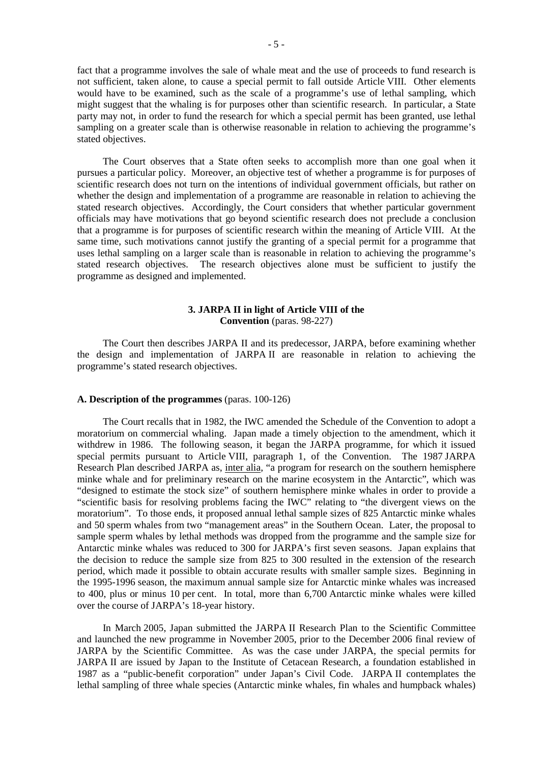fact that a programme involves the sale of whale meat and the use of proceeds to fund research is not sufficient, taken alone, to cause a special permit to fall outside Article VIII. Other elements would have to be examined, such as the scale of a programme's use of lethal sampling, which might suggest that the whaling is for purposes other than scientific research. In particular, a State party may not, in order to fund the research for which a special permit has been granted, use lethal sampling on a greater scale than is otherwise reasonable in relation to achieving the programme's stated objectives.

The Court observes that a State often seeks to accomplish more than one goal when it pursues a particular policy. Moreover, an objective test of whether a programme is for purposes of scientific research does not turn on the intentions of individual government officials, but rather on whether the design and implementation of a programme are reasonable in relation to achieving the stated research objectives. Accordingly, the Court considers that whether particular government officials may have motivations that go beyond scientific research does not preclude a conclusion that a programme is for purposes of scientific research within the meaning of Article VIII. At the same time, such motivations cannot justify the granting of a special permit for a programme that uses lethal sampling on a larger scale than is reasonable in relation to achieving the programme's stated research objectives. The research objectives alone must be sufficient to justify the programme as designed and implemented.

## **3. JARPA II in light of Article VIII of the Convention** (paras. 98-227)

The Court then describes JARPA II and its predecessor, JARPA, before examining whether the design and implementation of JARPA II are reasonable in relation to achieving the programme's stated research objectives.

## **A. Description of the programmes** (paras. 100-126)

The Court recalls that in 1982, the IWC amended the Schedule of the Convention to adopt a moratorium on commercial whaling. Japan made a timely objection to the amendment, which it withdrew in 1986. The following season, it began the JARPA programme, for which it issued special permits pursuant to Article VIII, paragraph 1, of the Convention. The 1987 JARPA Research Plan described JARPA as, inter alia, "a program for research on the southern hemisphere minke whale and for preliminary research on the marine ecosystem in the Antarctic", which was "designed to estimate the stock size" of southern hemisphere minke whales in order to provide a "scientific basis for resolving problems facing the IWC" relating to "the divergent views on the moratorium". To those ends, it proposed annual lethal sample sizes of 825 Antarctic minke whales and 50 sperm whales from two "management areas" in the Southern Ocean. Later, the proposal to sample sperm whales by lethal methods was dropped from the programme and the sample size for Antarctic minke whales was reduced to 300 for JARPA's first seven seasons. Japan explains that the decision to reduce the sample size from 825 to 300 resulted in the extension of the research period, which made it possible to obtain accurate results with smaller sample sizes. Beginning in the 1995-1996 season, the maximum annual sample size for Antarctic minke whales was increased to 400, plus or minus 10 per cent. In total, more than 6,700 Antarctic minke whales were killed over the course of JARPA's 18-year history.

In March 2005, Japan submitted the JARPA II Research Plan to the Scientific Committee and launched the new programme in November 2005, prior to the December 2006 final review of JARPA by the Scientific Committee. As was the case under JARPA, the special permits for JARPA II are issued by Japan to the Institute of Cetacean Research, a foundation established in 1987 as a "public-benefit corporation" under Japan's Civil Code. JARPA II contemplates the lethal sampling of three whale species (Antarctic minke whales, fin whales and humpback whales)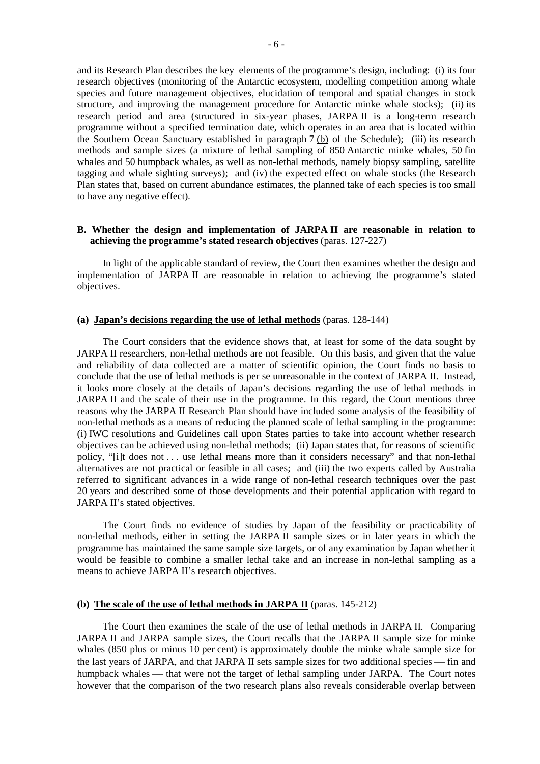and its Research Plan describes the key elements of the programme's design, including: (i) its four research objectives (monitoring of the Antarctic ecosystem, modelling competition among whale species and future management objectives, elucidation of temporal and spatial changes in stock structure, and improving the management procedure for Antarctic minke whale stocks); (ii) its research period and area (structured in six-year phases, JARPA II is a long-term research programme without a specified termination date, which operates in an area that is located within the Southern Ocean Sanctuary established in paragraph 7 (b) of the Schedule); (iii) its research methods and sample sizes (a mixture of lethal sampling of 850 Antarctic minke whales, 50 fin whales and 50 humpback whales, as well as non-lethal methods, namely biopsy sampling, satellite tagging and whale sighting surveys); and (iv) the expected effect on whale stocks (the Research Plan states that, based on current abundance estimates, the planned take of each species is too small to have any negative effect).

## **B. Whether the design and implementation of JARPA II are reasonable in relation to achieving the programme's stated research objectives** (paras. 127-227)

In light of the applicable standard of review, the Court then examines whether the design and implementation of JARPA II are reasonable in relation to achieving the programme's stated objectives.

## **(a) Japan's decisions regarding the use of lethal methods** (paras. 128-144)

The Court considers that the evidence shows that, at least for some of the data sought by JARPA II researchers, non-lethal methods are not feasible. On this basis, and given that the value and reliability of data collected are a matter of scientific opinion, the Court finds no basis to conclude that the use of lethal methods is per se unreasonable in the context of JARPA II. Instead, it looks more closely at the details of Japan's decisions regarding the use of lethal methods in JARPA II and the scale of their use in the programme. In this regard, the Court mentions three reasons why the JARPA II Research Plan should have included some analysis of the feasibility of non-lethal methods as a means of reducing the planned scale of lethal sampling in the programme: (i) IWC resolutions and Guidelines call upon States parties to take into account whether research objectives can be achieved using non-lethal methods; (ii) Japan states that, for reasons of scientific policy, "[i]t does not . . . use lethal means more than it considers necessary" and that non-lethal alternatives are not practical or feasible in all cases; and (iii) the two experts called by Australia referred to significant advances in a wide range of non-lethal research techniques over the past 20 years and described some of those developments and their potential application with regard to JARPA II's stated objectives.

The Court finds no evidence of studies by Japan of the feasibility or practicability of non-lethal methods, either in setting the JARPA II sample sizes or in later years in which the programme has maintained the same sample size targets, or of any examination by Japan whether it would be feasible to combine a smaller lethal take and an increase in non-lethal sampling as a means to achieve JARPA II's research objectives.

## **(b) The scale of the use of lethal methods in JARPA II** (paras. 145-212)

The Court then examines the scale of the use of lethal methods in JARPA II. Comparing JARPA II and JARPA sample sizes, the Court recalls that the JARPA II sample size for minke whales (850 plus or minus 10 per cent) is approximately double the minke whale sample size for the last years of JARPA, and that JARPA II sets sample sizes for two additional species – fin and humpback whales — that were not the target of lethal sampling under JARPA. The Court notes however that the comparison of the two research plans also reveals considerable overlap between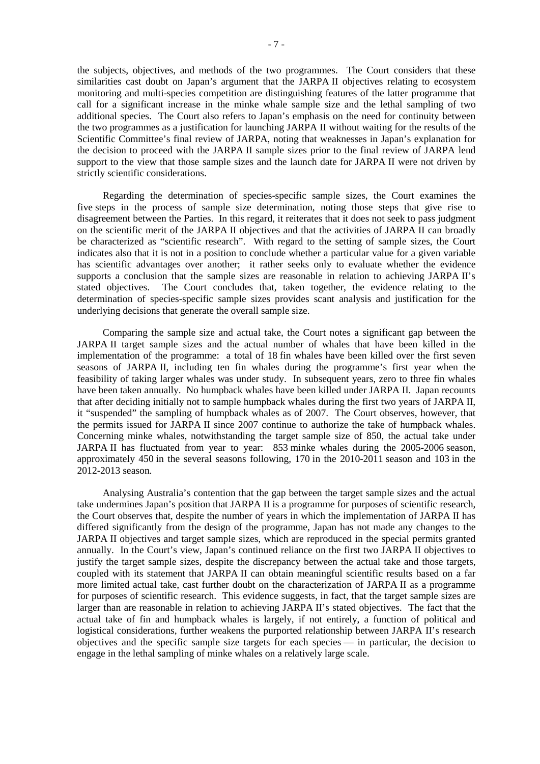the subjects, objectives, and methods of the two programmes. The Court considers that these similarities cast doubt on Japan's argument that the JARPA II objectives relating to ecosystem monitoring and multi-species competition are distinguishing features of the latter programme that call for a significant increase in the minke whale sample size and the lethal sampling of two additional species. The Court also refers to Japan's emphasis on the need for continuity between the two programmes as a justification for launching JARPA II without waiting for the results of the Scientific Committee's final review of JARPA, noting that weaknesses in Japan's explanation for the decision to proceed with the JARPA II sample sizes prior to the final review of JARPA lend support to the view that those sample sizes and the launch date for JARPA II were not driven by strictly scientific considerations.

Regarding the determination of species-specific sample sizes, the Court examines the five steps in the process of sample size determination, noting those steps that give rise to disagreement between the Parties. In this regard, it reiterates that it does not seek to pass judgment on the scientific merit of the JARPA II objectives and that the activities of JARPA II can broadly be characterized as "scientific research". With regard to the setting of sample sizes, the Court indicates also that it is not in a position to conclude whether a particular value for a given variable has scientific advantages over another; it rather seeks only to evaluate whether the evidence supports a conclusion that the sample sizes are reasonable in relation to achieving JARPA II's stated objectives. The Court concludes that, taken together, the evidence relating to the determination of species-specific sample sizes provides scant analysis and justification for the underlying decisions that generate the overall sample size.

Comparing the sample size and actual take, the Court notes a significant gap between the JARPA II target sample sizes and the actual number of whales that have been killed in the implementation of the programme: a total of 18 fin whales have been killed over the first seven seasons of JARPA II, including ten fin whales during the programme's first year when the feasibility of taking larger whales was under study. In subsequent years, zero to three fin whales have been taken annually. No humpback whales have been killed under JARPA II. Japan recounts that after deciding initially not to sample humpback whales during the first two years of JARPA II, it "suspended" the sampling of humpback whales as of 2007. The Court observes, however, that the permits issued for JARPA II since 2007 continue to authorize the take of humpback whales. Concerning minke whales, notwithstanding the target sample size of 850, the actual take under JARPA II has fluctuated from year to year: 853 minke whales during the 2005-2006 season, approximately 450 in the several seasons following, 170 in the 2010-2011 season and 103 in the 2012-2013 season.

Analysing Australia's contention that the gap between the target sample sizes and the actual take undermines Japan's position that JARPA II is a programme for purposes of scientific research, the Court observes that, despite the number of years in which the implementation of JARPA II has differed significantly from the design of the programme, Japan has not made any changes to the JARPA II objectives and target sample sizes, which are reproduced in the special permits granted annually. In the Court's view, Japan's continued reliance on the first two JARPA II objectives to justify the target sample sizes, despite the discrepancy between the actual take and those targets, coupled with its statement that JARPA II can obtain meaningful scientific results based on a far more limited actual take, cast further doubt on the characterization of JARPA II as a programme for purposes of scientific research. This evidence suggests, in fact, that the target sample sizes are larger than are reasonable in relation to achieving JARPA II's stated objectives. The fact that the actual take of fin and humpback whales is largely, if not entirely, a function of political and logistical considerations, further weakens the purported relationship between JARPA II's research objectives and the specific sample size targets for each species — in particular, the decision to engage in the lethal sampling of minke whales on a relatively large scale.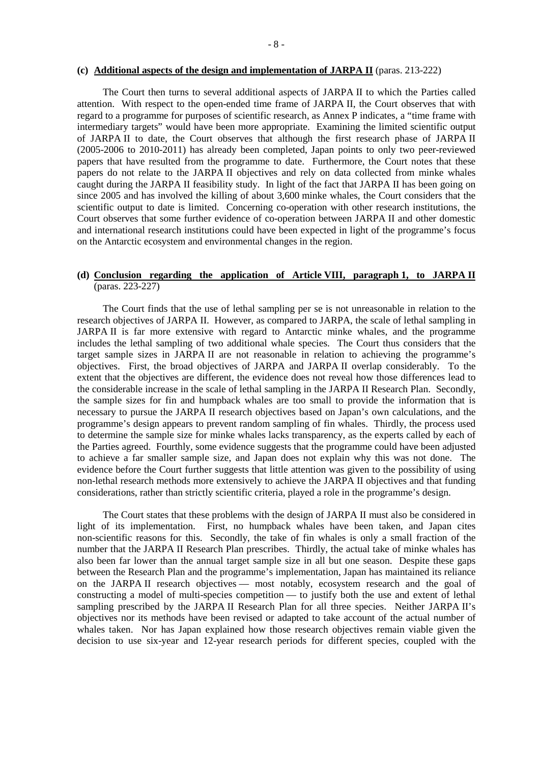## **(c) Additional aspects of the design and implementation of JARPA II** (paras. 213-222)

The Court then turns to several additional aspects of JARPA II to which the Parties called attention. With respect to the open-ended time frame of JARPA II, the Court observes that with regard to a programme for purposes of scientific research, as Annex P indicates, a "time frame with intermediary targets" would have been more appropriate. Examining the limited scientific output of JARPA II to date, the Court observes that although the first research phase of JARPA II (2005-2006 to 2010-2011) has already been completed, Japan points to only two peer-reviewed papers that have resulted from the programme to date. Furthermore, the Court notes that these papers do not relate to the JARPA II objectives and rely on data collected from minke whales caught during the JARPA II feasibility study. In light of the fact that JARPA II has been going on since 2005 and has involved the killing of about 3,600 minke whales, the Court considers that the scientific output to date is limited. Concerning co-operation with other research institutions, the Court observes that some further evidence of co-operation between JARPA II and other domestic and international research institutions could have been expected in light of the programme's focus on the Antarctic ecosystem and environmental changes in the region.

# **(d) Conclusion regarding the application of Article VIII, paragraph 1, to JARPA II** (paras. 223-227)

The Court finds that the use of lethal sampling per se is not unreasonable in relation to the research objectives of JARPA II. However, as compared to JARPA, the scale of lethal sampling in JARPA II is far more extensive with regard to Antarctic minke whales, and the programme includes the lethal sampling of two additional whale species. The Court thus considers that the target sample sizes in JARPA II are not reasonable in relation to achieving the programme's objectives. First, the broad objectives of JARPA and JARPA II overlap considerably. To the extent that the objectives are different, the evidence does not reveal how those differences lead to the considerable increase in the scale of lethal sampling in the JARPA II Research Plan. Secondly, the sample sizes for fin and humpback whales are too small to provide the information that is necessary to pursue the JARPA II research objectives based on Japan's own calculations, and the programme's design appears to prevent random sampling of fin whales. Thirdly, the process used to determine the sample size for minke whales lacks transparency, as the experts called by each of the Parties agreed. Fourthly, some evidence suggests that the programme could have been adjusted to achieve a far smaller sample size, and Japan does not explain why this was not done. The evidence before the Court further suggests that little attention was given to the possibility of using non-lethal research methods more extensively to achieve the JARPA II objectives and that funding considerations, rather than strictly scientific criteria, played a role in the programme's design.

The Court states that these problems with the design of JARPA II must also be considered in light of its implementation. First, no humpback whales have been taken, and Japan cites non-scientific reasons for this. Secondly, the take of fin whales is only a small fraction of the number that the JARPA II Research Plan prescribes. Thirdly, the actual take of minke whales has also been far lower than the annual target sample size in all but one season. Despite these gaps between the Research Plan and the programme's implementation, Japan has maintained its reliance on the JARPA II research objectives — most notably, ecosystem research and the goal of constructing a model of multi-species competition — to justify both the use and extent of lethal sampling prescribed by the JARPA II Research Plan for all three species. Neither JARPA II's objectives nor its methods have been revised or adapted to take account of the actual number of whales taken. Nor has Japan explained how those research objectives remain viable given the decision to use six-year and 12-year research periods for different species, coupled with the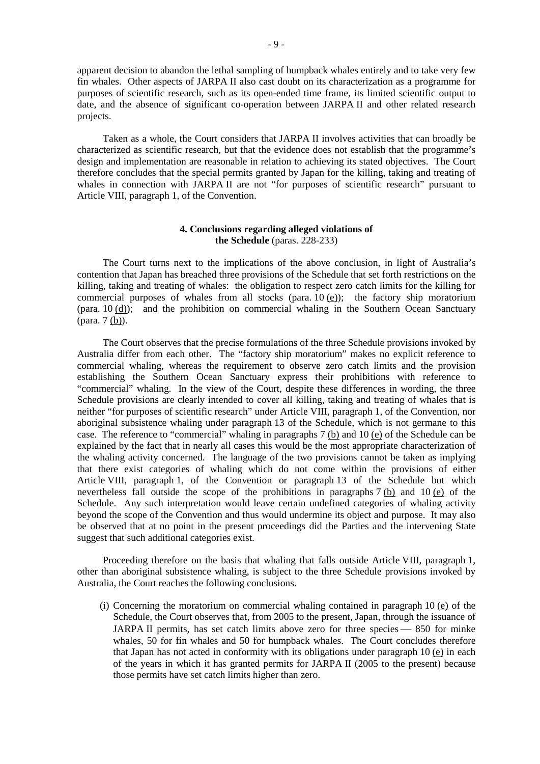apparent decision to abandon the lethal sampling of humpback whales entirely and to take very few fin whales. Other aspects of JARPA II also cast doubt on its characterization as a programme for purposes of scientific research, such as its open-ended time frame, its limited scientific output to date, and the absence of significant co-operation between JARPA II and other related research projects.

Taken as a whole, the Court considers that JARPA II involves activities that can broadly be characterized as scientific research, but that the evidence does not establish that the programme's design and implementation are reasonable in relation to achieving its stated objectives. The Court therefore concludes that the special permits granted by Japan for the killing, taking and treating of whales in connection with JARPA II are not "for purposes of scientific research" pursuant to Article VIII, paragraph 1, of the Convention.

## **4. Conclusions regarding alleged violations of the Schedule** (paras. 228-233)

The Court turns next to the implications of the above conclusion, in light of Australia's contention that Japan has breached three provisions of the Schedule that set forth restrictions on the killing, taking and treating of whales: the obligation to respect zero catch limits for the killing for commercial purposes of whales from all stocks (para.  $10(e)$ ); the factory ship moratorium (para. 10 (d)); and the prohibition on commercial whaling in the Southern Ocean Sanctuary (para. 7 (b)).

The Court observes that the precise formulations of the three Schedule provisions invoked by Australia differ from each other. The "factory ship moratorium" makes no explicit reference to commercial whaling, whereas the requirement to observe zero catch limits and the provision establishing the Southern Ocean Sanctuary express their prohibitions with reference to "commercial" whaling. In the view of the Court, despite these differences in wording, the three Schedule provisions are clearly intended to cover all killing, taking and treating of whales that is neither "for purposes of scientific research" under Article VIII, paragraph 1, of the Convention, nor aboriginal subsistence whaling under paragraph 13 of the Schedule, which is not germane to this case. The reference to "commercial" whaling in paragraphs 7 (b) and 10 (e) of the Schedule can be explained by the fact that in nearly all cases this would be the most appropriate characterization of the whaling activity concerned. The language of the two provisions cannot be taken as implying that there exist categories of whaling which do not come within the provisions of either Article VIII, paragraph 1, of the Convention or paragraph 13 of the Schedule but which nevertheless fall outside the scope of the prohibitions in paragraphs 7 (b) and 10 (e) of the Schedule. Any such interpretation would leave certain undefined categories of whaling activity beyond the scope of the Convention and thus would undermine its object and purpose. It may also be observed that at no point in the present proceedings did the Parties and the intervening State suggest that such additional categories exist.

Proceeding therefore on the basis that whaling that falls outside Article VIII, paragraph 1, other than aboriginal subsistence whaling, is subject to the three Schedule provisions invoked by Australia, the Court reaches the following conclusions.

(i) Concerning the moratorium on commercial whaling contained in paragraph 10 (e) of the Schedule, the Court observes that, from 2005 to the present, Japan, through the issuance of JARPA II permits, has set catch limits above zero for three species — 850 for minke whales, 50 for fin whales and 50 for humpback whales. The Court concludes therefore that Japan has not acted in conformity with its obligations under paragraph 10 (e) in each of the years in which it has granted permits for JARPA II (2005 to the present) because those permits have set catch limits higher than zero.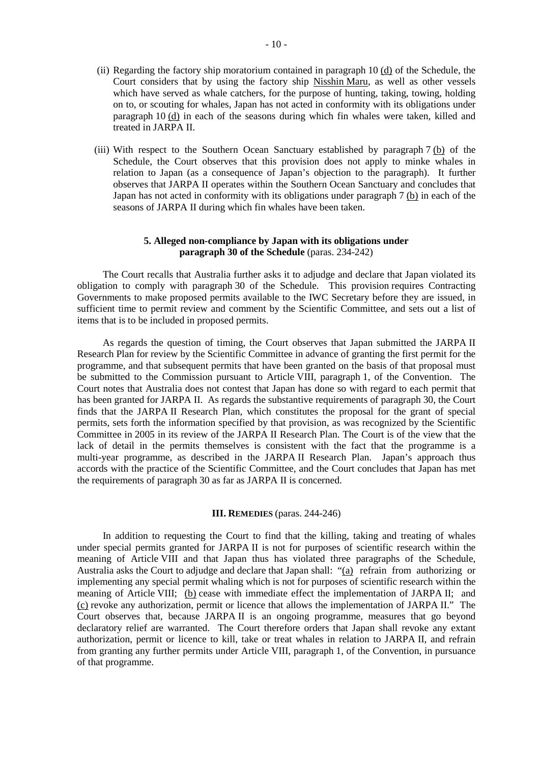- (ii) Regarding the factory ship moratorium contained in paragraph  $10$  (d) of the Schedule, the Court considers that by using the factory ship Nisshin Maru, as well as other vessels which have served as whale catchers, for the purpose of hunting, taking, towing, holding on to, or scouting for whales, Japan has not acted in conformity with its obligations under paragraph 10 (d) in each of the seasons during which fin whales were taken, killed and treated in JARPA II.
- (iii) With respect to the Southern Ocean Sanctuary established by paragraph 7 (b) of the Schedule, the Court observes that this provision does not apply to minke whales in relation to Japan (as a consequence of Japan's objection to the paragraph). It further observes that JARPA II operates within the Southern Ocean Sanctuary and concludes that Japan has not acted in conformity with its obligations under paragraph 7 (b) in each of the seasons of JARPA II during which fin whales have been taken.

## **5. Alleged non-compliance by Japan with its obligations under paragraph 30 of the Schedule** (paras. 234-242)

The Court recalls that Australia further asks it to adjudge and declare that Japan violated its obligation to comply with paragraph 30 of the Schedule. This provision requires Contracting Governments to make proposed permits available to the IWC Secretary before they are issued, in sufficient time to permit review and comment by the Scientific Committee, and sets out a list of items that is to be included in proposed permits.

As regards the question of timing, the Court observes that Japan submitted the JARPA II Research Plan for review by the Scientific Committee in advance of granting the first permit for the programme, and that subsequent permits that have been granted on the basis of that proposal must be submitted to the Commission pursuant to Article VIII, paragraph 1, of the Convention. The Court notes that Australia does not contest that Japan has done so with regard to each permit that has been granted for JARPA II. As regards the substantive requirements of paragraph 30, the Court finds that the JARPA II Research Plan, which constitutes the proposal for the grant of special permits, sets forth the information specified by that provision, as was recognized by the Scientific Committee in 2005 in its review of the JARPA II Research Plan. The Court is of the view that the lack of detail in the permits themselves is consistent with the fact that the programme is a multi-year programme, as described in the JARPA II Research Plan. Japan's approach thus accords with the practice of the Scientific Committee, and the Court concludes that Japan has met the requirements of paragraph 30 as far as JARPA II is concerned.

# **III. REMEDIES** (paras. 244-246)

In addition to requesting the Court to find that the killing, taking and treating of whales under special permits granted for JARPA II is not for purposes of scientific research within the meaning of Article VIII and that Japan thus has violated three paragraphs of the Schedule, Australia asks the Court to adjudge and declare that Japan shall: "(a) refrain from authorizing or implementing any special permit whaling which is not for purposes of scientific research within the meaning of Article VIII; (b) cease with immediate effect the implementation of JARPA II; and (c) revoke any authorization, permit or licence that allows the implementation of JARPA II."The Court observes that, because JARPA II is an ongoing programme, measures that go beyond declaratory relief are warranted. The Court therefore orders that Japan shall revoke any extant authorization, permit or licence to kill, take or treat whales in relation to JARPA II, and refrain from granting any further permits under Article VIII, paragraph 1, of the Convention, in pursuance of that programme.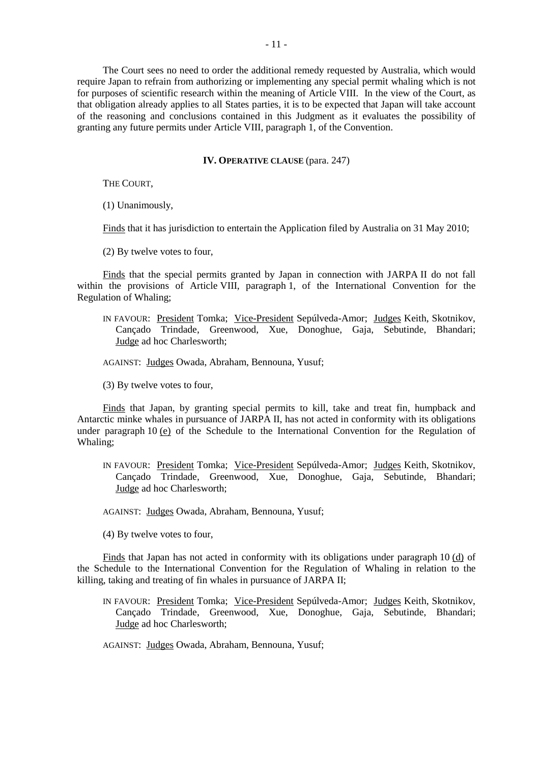The Court sees no need to order the additional remedy requested by Australia, which would require Japan to refrain from authorizing or implementing any special permit whaling which is not for purposes of scientific research within the meaning of Article VIII. In the view of the Court, as that obligation already applies to all States parties, it is to be expected that Japan will take account of the reasoning and conclusions contained in this Judgment as it evaluates the possibility of granting any future permits under Article VIII, paragraph 1, of the Convention.

#### **IV. OPERATIVE CLAUSE** (para. 247)

THE COURT,

(1) Unanimously,

Finds that it has jurisdiction to entertain the Application filed by Australia on 31 May 2010;

(2) By twelve votes to four,

Finds that the special permits granted by Japan in connection with JARPA II do not fall within the provisions of Article VIII, paragraph 1, of the International Convention for the Regulation of Whaling;

- IN FAVOUR: President Tomka; Vice-President Sepúlveda-Amor; Judges Keith, Skotnikov, Cançado Trindade, Greenwood, Xue, Donoghue, Gaja, Sebutinde, Bhandari; Judge ad hoc Charlesworth;
- AGAINST: Judges Owada, Abraham, Bennouna, Yusuf;
- (3) By twelve votes to four,

Finds that Japan, by granting special permits to kill, take and treat fin, humpback and Antarctic minke whales in pursuance of JARPA II, has not acted in conformity with its obligations under paragraph 10 (e) of the Schedule to the International Convention for the Regulation of Whaling;

- IN FAVOUR: President Tomka; Vice-President Sepúlveda-Amor; Judges Keith, Skotnikov, Cançado Trindade, Greenwood, Xue, Donoghue, Gaja, Sebutinde, Bhandari; Judge ad hoc Charlesworth;
- AGAINST: Judges Owada, Abraham, Bennouna, Yusuf;
- (4) By twelve votes to four,

Finds that Japan has not acted in conformity with its obligations under paragraph 10 (d) of the Schedule to the International Convention for the Regulation of Whaling in relation to the killing, taking and treating of fin whales in pursuance of JARPA II;

IN FAVOUR: President Tomka; Vice-President Sepúlveda-Amor; Judges Keith, Skotnikov, Cançado Trindade, Greenwood, Xue, Donoghue, Gaja, Sebutinde, Bhandari; Judge ad hoc Charlesworth;

AGAINST: Judges Owada, Abraham, Bennouna, Yusuf;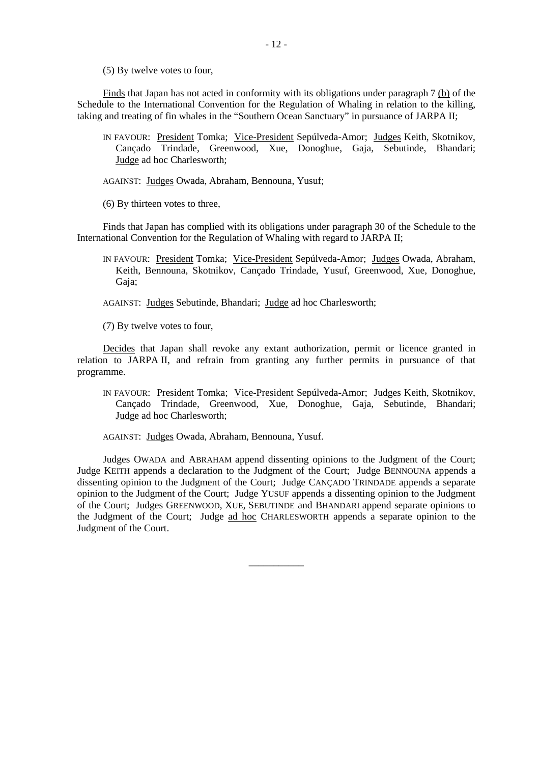(5) By twelve votes to four,

Finds that Japan has not acted in conformity with its obligations under paragraph  $7 \underline{b}$  of the Schedule to the International Convention for the Regulation of Whaling in relation to the killing, taking and treating of fin whales in the "Southern Ocean Sanctuary" in pursuance of JARPA II;

- IN FAVOUR: President Tomka; Vice-President Sepúlveda-Amor; Judges Keith, Skotnikov, Cançado Trindade, Greenwood, Xue, Donoghue, Gaja, Sebutinde, Bhandari; Judge ad hoc Charlesworth;
- AGAINST: Judges Owada, Abraham, Bennouna, Yusuf;
- (6) By thirteen votes to three,

Finds that Japan has complied with its obligations under paragraph 30 of the Schedule to the International Convention for the Regulation of Whaling with regard to JARPA II;

- IN FAVOUR: President Tomka; Vice-President Sepúlveda-Amor; Judges Owada, Abraham, Keith, Bennouna, Skotnikov, Cançado Trindade, Yusuf, Greenwood, Xue, Donoghue, Gaja;
- AGAINST: Judges Sebutinde, Bhandari; Judge ad hoc Charlesworth;
- (7) By twelve votes to four,

Decides that Japan shall revoke any extant authorization, permit or licence granted in relation to JARPA II, and refrain from granting any further permits in pursuance of that programme.

- IN FAVOUR: President Tomka; Vice-President Sepúlveda-Amor; Judges Keith, Skotnikov, Cançado Trindade, Greenwood, Xue, Donoghue, Gaja, Sebutinde, Bhandari; Judge ad hoc Charlesworth;
- AGAINST: Judges Owada, Abraham, Bennouna, Yusuf.

Judges OWADA and ABRAHAM append dissenting opinions to the Judgment of the Court; Judge KEITH appends a declaration to the Judgment of the Court; Judge BENNOUNA appends a dissenting opinion to the Judgment of the Court; Judge CANÇADO TRINDADE appends a separate opinion to the Judgment of the Court; Judge YUSUF appends a dissenting opinion to the Judgment of the Court; Judges GREENWOOD, XUE, SEBUTINDE and BHANDARI append separate opinions to the Judgment of the Court; Judge ad hoc CHARLESWORTH appends a separate opinion to the Judgment of the Court.

\_\_\_\_\_\_\_\_\_\_\_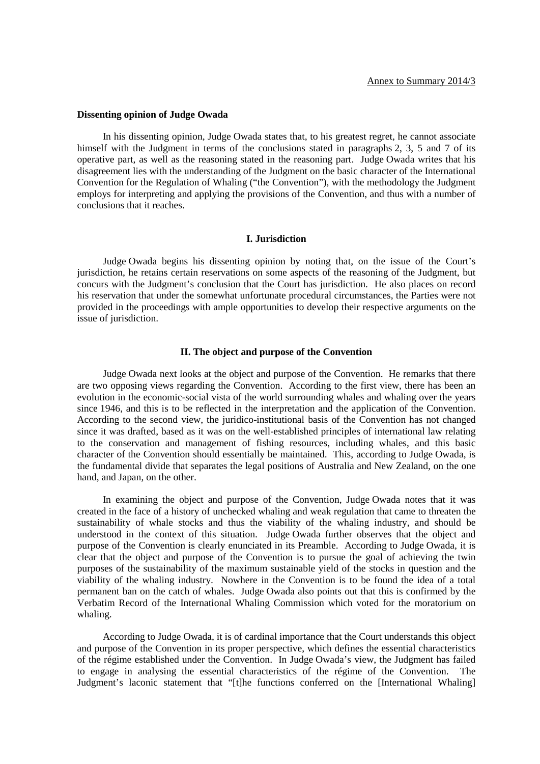#### **Dissenting opinion of Judge Owada**

In his dissenting opinion, Judge Owada states that, to his greatest regret, he cannot associate himself with the Judgment in terms of the conclusions stated in paragraphs 2, 3, 5 and 7 of its operative part, as well as the reasoning stated in the reasoning part. Judge Owada writes that his disagreement lies with the understanding of the Judgment on the basic character of the International Convention for the Regulation of Whaling ("the Convention"), with the methodology the Judgment employs for interpreting and applying the provisions of the Convention, and thus with a number of conclusions that it reaches.

#### **I. Jurisdiction**

Judge Owada begins his dissenting opinion by noting that, on the issue of the Court's jurisdiction, he retains certain reservations on some aspects of the reasoning of the Judgment, but concurs with the Judgment's conclusion that the Court has jurisdiction. He also places on record his reservation that under the somewhat unfortunate procedural circumstances, the Parties were not provided in the proceedings with ample opportunities to develop their respective arguments on the issue of jurisdiction.

## **II. The object and purpose of the Convention**

Judge Owada next looks at the object and purpose of the Convention. He remarks that there are two opposing views regarding the Convention. According to the first view, there has been an evolution in the economic-social vista of the world surrounding whales and whaling over the years since 1946, and this is to be reflected in the interpretation and the application of the Convention. According to the second view, the juridico-institutional basis of the Convention has not changed since it was drafted, based as it was on the well-established principles of international law relating to the conservation and management of fishing resources, including whales, and this basic character of the Convention should essentially be maintained. This, according to Judge Owada, is the fundamental divide that separates the legal positions of Australia and New Zealand, on the one hand, and Japan, on the other.

In examining the object and purpose of the Convention, Judge Owada notes that it was created in the face of a history of unchecked whaling and weak regulation that came to threaten the sustainability of whale stocks and thus the viability of the whaling industry, and should be understood in the context of this situation. Judge Owada further observes that the object and purpose of the Convention is clearly enunciated in its Preamble. According to Judge Owada, it is clear that the object and purpose of the Convention is to pursue the goal of achieving the twin purposes of the sustainability of the maximum sustainable yield of the stocks in question and the viability of the whaling industry. Nowhere in the Convention is to be found the idea of a total permanent ban on the catch of whales. Judge Owada also points out that this is confirmed by the Verbatim Record of the International Whaling Commission which voted for the moratorium on whaling.

According to Judge Owada, it is of cardinal importance that the Court understands this object and purpose of the Convention in its proper perspective, which defines the essential characteristics of the régime established under the Convention. In Judge Owada's view, the Judgment has failed to engage in analysing the essential characteristics of the régime of the Convention. The Judgment's laconic statement that "[t]he functions conferred on the [International Whaling]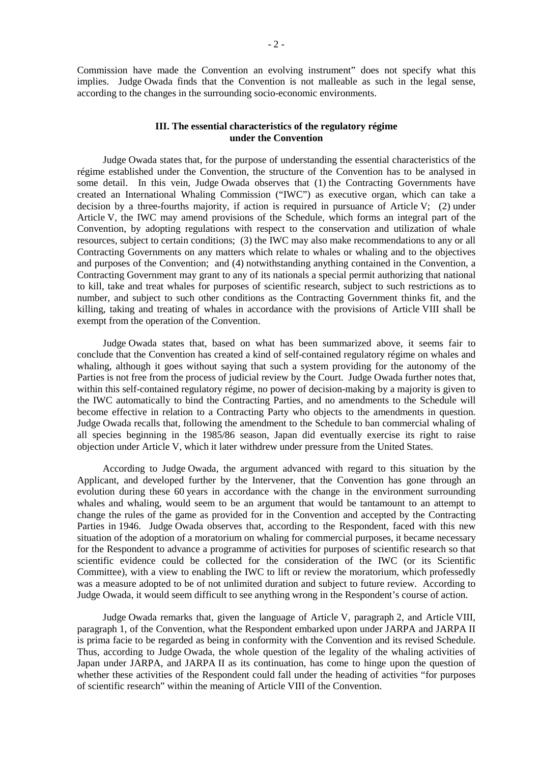Commission have made the Convention an evolving instrument" does not specify what this implies. Judge Owada finds that the Convention is not malleable as such in the legal sense, according to the changes in the surrounding socio-economic environments.

## **III. The essential characteristics of the regulatory régime under the Convention**

Judge Owada states that, for the purpose of understanding the essential characteristics of the régime established under the Convention, the structure of the Convention has to be analysed in some detail. In this vein, Judge Owada observes that (1) the Contracting Governments have created an International Whaling Commission ("IWC") as executive organ, which can take a decision by a three-fourths majority, if action is required in pursuance of Article V; (2) under Article V, the IWC may amend provisions of the Schedule, which forms an integral part of the Convention, by adopting regulations with respect to the conservation and utilization of whale resources, subject to certain conditions; (3) the IWC may also make recommendations to any or all Contracting Governments on any matters which relate to whales or whaling and to the objectives and purposes of the Convention; and (4) notwithstanding anything contained in the Convention, a Contracting Government may grant to any of its nationals a special permit authorizing that national to kill, take and treat whales for purposes of scientific research, subject to such restrictions as to number, and subject to such other conditions as the Contracting Government thinks fit, and the killing, taking and treating of whales in accordance with the provisions of Article VIII shall be exempt from the operation of the Convention.

Judge Owada states that, based on what has been summarized above, it seems fair to conclude that the Convention has created a kind of self-contained regulatory régime on whales and whaling, although it goes without saying that such a system providing for the autonomy of the Parties is not free from the process of judicial review by the Court. Judge Owada further notes that, within this self-contained regulatory régime, no power of decision-making by a majority is given to the IWC automatically to bind the Contracting Parties, and no amendments to the Schedule will become effective in relation to a Contracting Party who objects to the amendments in question. Judge Owada recalls that, following the amendment to the Schedule to ban commercial whaling of all species beginning in the 1985/86 season, Japan did eventually exercise its right to raise objection under Article V, which it later withdrew under pressure from the United States.

According to Judge Owada, the argument advanced with regard to this situation by the Applicant, and developed further by the Intervener, that the Convention has gone through an evolution during these 60 years in accordance with the change in the environment surrounding whales and whaling, would seem to be an argument that would be tantamount to an attempt to change the rules of the game as provided for in the Convention and accepted by the Contracting Parties in 1946. Judge Owada observes that, according to the Respondent, faced with this new situation of the adoption of a moratorium on whaling for commercial purposes, it became necessary for the Respondent to advance a programme of activities for purposes of scientific research so that scientific evidence could be collected for the consideration of the IWC (or its Scientific Committee), with a view to enabling the IWC to lift or review the moratorium, which professedly was a measure adopted to be of not unlimited duration and subject to future review. According to Judge Owada, it would seem difficult to see anything wrong in the Respondent's course of action.

Judge Owada remarks that, given the language of Article V, paragraph 2, and Article VIII, paragraph 1, of the Convention, what the Respondent embarked upon under JARPA and JARPA II is prima facie to be regarded as being in conformity with the Convention and its revised Schedule. Thus, according to Judge Owada, the whole question of the legality of the whaling activities of Japan under JARPA, and JARPA II as its continuation, has come to hinge upon the question of whether these activities of the Respondent could fall under the heading of activities "for purposes of scientific research" within the meaning of Article VIII of the Convention.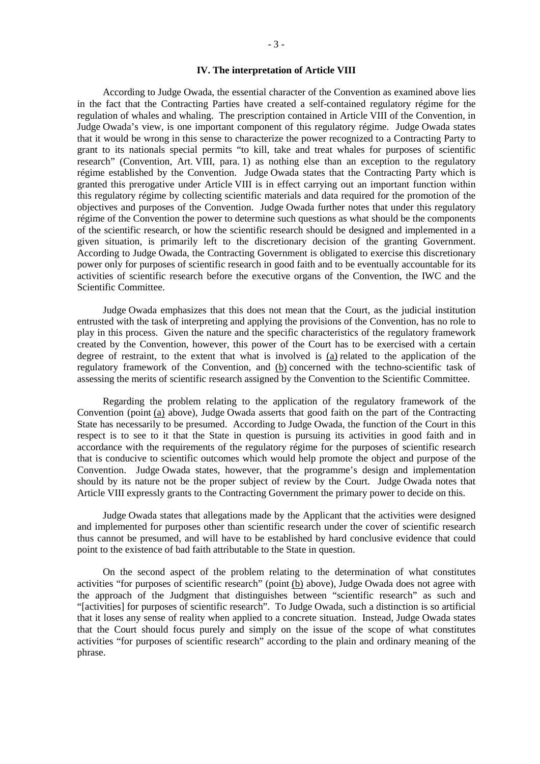According to Judge Owada, the essential character of the Convention as examined above lies in the fact that the Contracting Parties have created a self-contained regulatory régime for the regulation of whales and whaling. The prescription contained in Article VIII of the Convention, in Judge Owada's view, is one important component of this regulatory régime. Judge Owada states that it would be wrong in this sense to characterize the power recognized to a Contracting Party to grant to its nationals special permits "to kill, take and treat whales for purposes of scientific research" (Convention, Art. VIII, para. 1) as nothing else than an exception to the regulatory régime established by the Convention. Judge Owada states that the Contracting Party which is granted this prerogative under Article VIII is in effect carrying out an important function within this regulatory régime by collecting scientific materials and data required for the promotion of the objectives and purposes of the Convention. Judge Owada further notes that under this regulatory régime of the Convention the power to determine such questions as what should be the components of the scientific research, or how the scientific research should be designed and implemented in a given situation, is primarily left to the discretionary decision of the granting Government. According to Judge Owada, the Contracting Government is obligated to exercise this discretionary power only for purposes of scientific research in good faith and to be eventually accountable for its activities of scientific research before the executive organs of the Convention, the IWC and the Scientific Committee.

Judge Owada emphasizes that this does not mean that the Court, as the judicial institution entrusted with the task of interpreting and applying the provisions of the Convention, has no role to play in this process. Given the nature and the specific characteristics of the regulatory framework created by the Convention, however, this power of the Court has to be exercised with a certain degree of restraint, to the extent that what is involved is (a) related to the application of the regulatory framework of the Convention, and (b) concerned with the techno-scientific task of assessing the merits of scientific research assigned by the Convention to the Scientific Committee.

Regarding the problem relating to the application of the regulatory framework of the Convention (point (a) above), Judge Owada asserts that good faith on the part of the Contracting State has necessarily to be presumed. According to Judge Owada, the function of the Court in this respect is to see to it that the State in question is pursuing its activities in good faith and in accordance with the requirements of the regulatory régime for the purposes of scientific research that is conducive to scientific outcomes which would help promote the object and purpose of the Convention. Judge Owada states, however, that the programme's design and implementation should by its nature not be the proper subject of review by the Court. Judge Owada notes that Article VIII expressly grants to the Contracting Government the primary power to decide on this.

Judge Owada states that allegations made by the Applicant that the activities were designed and implemented for purposes other than scientific research under the cover of scientific research thus cannot be presumed, and will have to be established by hard conclusive evidence that could point to the existence of bad faith attributable to the State in question.

On the second aspect of the problem relating to the determination of what constitutes activities "for purposes of scientific research" (point (b) above), Judge Owada does not agree with the approach of the Judgment that distinguishes between "scientific research" as such and "[activities] for purposes of scientific research". To Judge Owada, such a distinction is so artificial that it loses any sense of reality when applied to a concrete situation. Instead, Judge Owada states that the Court should focus purely and simply on the issue of the scope of what constitutes activities "for purposes of scientific research" according to the plain and ordinary meaning of the phrase.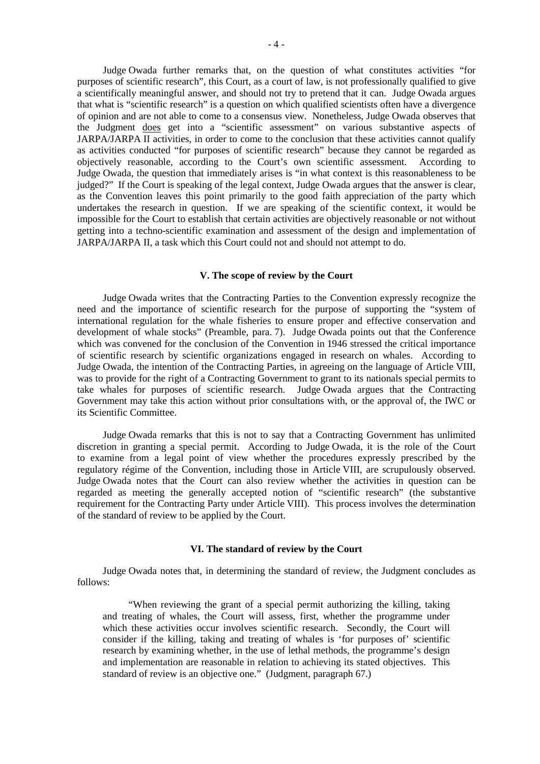Judge Owada further remarks that, on the question of what constitutes activities "for purposes of scientific research", this Court, as a court of law, is not professionally qualified to give a scientifically meaningful answer, and should not try to pretend that it can. Judge Owada argues that what is "scientific research" is a question on which qualified scientists often have a divergence of opinion and are not able to come to a consensus view. Nonetheless, Judge Owada observes that the Judgment does get into a "scientific assessment" on various substantive aspects of JARPA/JARPA II activities, in order to come to the conclusion that these activities cannot qualify as activities conducted "for purposes of scientific research" because they cannot be regarded as objectively reasonable, according to the Court's own scientific assessment. According to Judge Owada, the question that immediately arises is "in what context is this reasonableness to be judged?" If the Court is speaking of the legal context, Judge Owada argues that the answer is clear, as the Convention leaves this point primarily to the good faith appreciation of the party which undertakes the research in question. If we are speaking of the scientific context, it would be impossible for the Court to establish that certain activities are objectively reasonable or not without getting into a techno-scientific examination and assessment of the design and implementation of JARPA/JARPA II, a task which this Court could not and should not attempt to do.

## **V. The scope of review by the Court**

Judge Owada writes that the Contracting Parties to the Convention expressly recognize the need and the importance of scientific research for the purpose of supporting the "system of international regulation for the whale fisheries to ensure proper and effective conservation and development of whale stocks" (Preamble, para. 7). Judge Owada points out that the Conference which was convened for the conclusion of the Convention in 1946 stressed the critical importance of scientific research by scientific organizations engaged in research on whales. According to Judge Owada, the intention of the Contracting Parties, in agreeing on the language of Article VIII, was to provide for the right of a Contracting Government to grant to its nationals special permits to take whales for purposes of scientific research. Judge Owada argues that the Contracting Government may take this action without prior consultations with, or the approval of, the IWC or its Scientific Committee.

Judge Owada remarks that this is not to say that a Contracting Government has unlimited discretion in granting a special permit. According to Judge Owada, it is the role of the Court to examine from a legal point of view whether the procedures expressly prescribed by the regulatory régime of the Convention, including those in Article VIII, are scrupulously observed. Judge Owada notes that the Court can also review whether the activities in question can be regarded as meeting the generally accepted notion of "scientific research" (the substantive requirement for the Contracting Party under Article VIII). This process involves the determination of the standard of review to be applied by the Court.

#### **VI. The standard of review by the Court**

Judge Owada notes that, in determining the standard of review, the Judgment concludes as follows:

"When reviewing the grant of a special permit authorizing the killing, taking and treating of whales, the Court will assess, first, whether the programme under which these activities occur involves scientific research. Secondly, the Court will consider if the killing, taking and treating of whales is 'for purposes of' scientific research by examining whether, in the use of lethal methods, the programme's design and implementation are reasonable in relation to achieving its stated objectives. This standard of review is an objective one." (Judgment, paragraph 67.)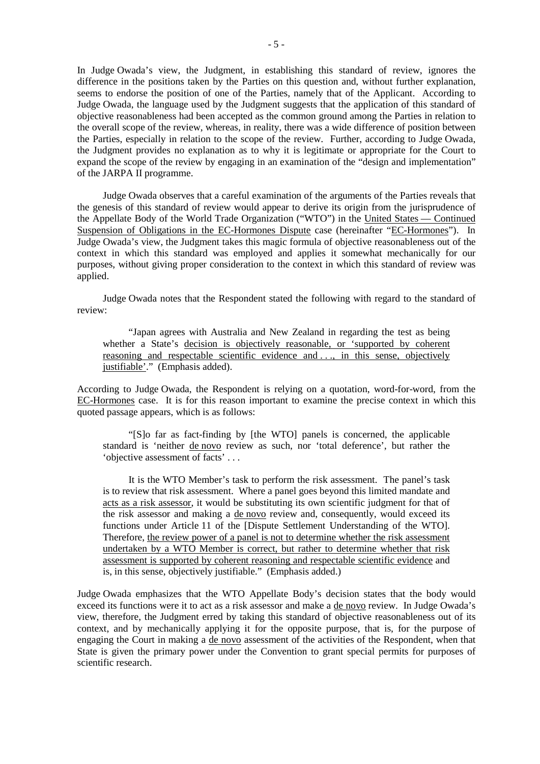In Judge Owada's view, the Judgment, in establishing this standard of review, ignores the difference in the positions taken by the Parties on this question and, without further explanation, seems to endorse the position of one of the Parties, namely that of the Applicant. According to Judge Owada, the language used by the Judgment suggests that the application of this standard of objective reasonableness had been accepted as the common ground among the Parties in relation to the overall scope of the review, whereas, in reality, there was a wide difference of position between the Parties, especially in relation to the scope of the review. Further, according to Judge Owada, the Judgment provides no explanation as to why it is legitimate or appropriate for the Court to expand the scope of the review by engaging in an examination of the "design and implementation" of the JARPA II programme.

Judge Owada observes that a careful examination of the arguments of the Parties reveals that the genesis of this standard of review would appear to derive its origin from the jurisprudence of the Appellate Body of the World Trade Organization ("WTO") in the United States — Continued Suspension of Obligations in the EC-Hormones Dispute case (hereinafter "EC-Hormones"). In Judge Owada's view, the Judgment takes this magic formula of objective reasonableness out of the context in which this standard was employed and applies it somewhat mechanically for our purposes, without giving proper consideration to the context in which this standard of review was applied.

Judge Owada notes that the Respondent stated the following with regard to the standard of review:

"Japan agrees with Australia and New Zealand in regarding the test as being whether a State's decision is objectively reasonable, or 'supported by coherent reasoning and respectable scientific evidence and ..., in this sense, objectively justifiable'." (Emphasis added).

According to Judge Owada, the Respondent is relying on a quotation, word-for-word, from the EC-Hormones case. It is for this reason important to examine the precise context in which this quoted passage appears, which is as follows:

"[S]o far as fact-finding by [the WTO] panels is concerned, the applicable standard is 'neither de novo review as such, nor 'total deference', but rather the 'objective assessment of facts' . . .

It is the WTO Member's task to perform the risk assessment. The panel's task is to review that risk assessment. Where a panel goes beyond this limited mandate and acts as a risk assessor, it would be substituting its own scientific judgment for that of the risk assessor and making a de novo review and, consequently, would exceed its functions under Article 11 of the [Dispute Settlement Understanding of the WTO]. Therefore, the review power of a panel is not to determine whether the risk assessment undertaken by a WTO Member is correct, but rather to determine whether that risk assessment is supported by coherent reasoning and respectable scientific evidence and is, in this sense, objectively justifiable." (Emphasis added.)

Judge Owada emphasizes that the WTO Appellate Body's decision states that the body would exceed its functions were it to act as a risk assessor and make a de novo review. In Judge Owada's view, therefore, the Judgment erred by taking this standard of objective reasonableness out of its context, and by mechanically applying it for the opposite purpose, that is, for the purpose of engaging the Court in making a de novo assessment of the activities of the Respondent, when that State is given the primary power under the Convention to grant special permits for purposes of scientific research.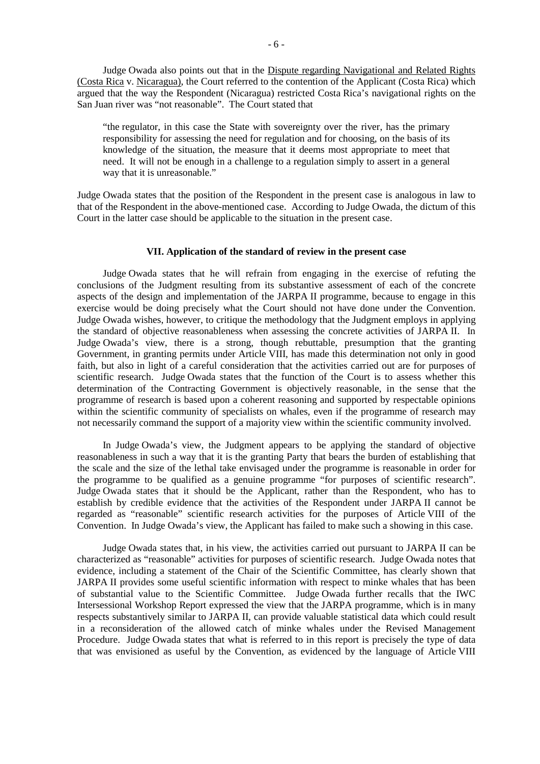Judge Owada also points out that in the Dispute regarding Navigational and Related Rights (Costa Rica v. Nicaragua), the Court referred to the contention of the Applicant (Costa Rica) which argued that the way the Respondent (Nicaragua) restricted Costa Rica's navigational rights on the San Juan river was "not reasonable". The Court stated that

"the regulator, in this case the State with sovereignty over the river, has the primary responsibility for assessing the need for regulation and for choosing, on the basis of its knowledge of the situation, the measure that it deems most appropriate to meet that need. It will not be enough in a challenge to a regulation simply to assert in a general way that it is unreasonable."

Judge Owada states that the position of the Respondent in the present case is analogous in law to that of the Respondent in the above-mentioned case. According to Judge Owada, the dictum of this Court in the latter case should be applicable to the situation in the present case.

#### **VII. Application of the standard of review in the present case**

Judge Owada states that he will refrain from engaging in the exercise of refuting the conclusions of the Judgment resulting from its substantive assessment of each of the concrete aspects of the design and implementation of the JARPA II programme, because to engage in this exercise would be doing precisely what the Court should not have done under the Convention. Judge Owada wishes, however, to critique the methodology that the Judgment employs in applying the standard of objective reasonableness when assessing the concrete activities of JARPA II. In Judge Owada's view, there is a strong, though rebuttable, presumption that the granting Government, in granting permits under Article VIII, has made this determination not only in good faith, but also in light of a careful consideration that the activities carried out are for purposes of scientific research. Judge Owada states that the function of the Court is to assess whether this determination of the Contracting Government is objectively reasonable, in the sense that the programme of research is based upon a coherent reasoning and supported by respectable opinions within the scientific community of specialists on whales, even if the programme of research may not necessarily command the support of a majority view within the scientific community involved.

In Judge Owada's view, the Judgment appears to be applying the standard of objective reasonableness in such a way that it is the granting Party that bears the burden of establishing that the scale and the size of the lethal take envisaged under the programme is reasonable in order for the programme to be qualified as a genuine programme "for purposes of scientific research". Judge Owada states that it should be the Applicant, rather than the Respondent, who has to establish by credible evidence that the activities of the Respondent under JARPA II cannot be regarded as "reasonable" scientific research activities for the purposes of Article VIII of the Convention. In Judge Owada's view, the Applicant has failed to make such a showing in this case.

Judge Owada states that, in his view, the activities carried out pursuant to JARPA II can be characterized as "reasonable" activities for purposes of scientific research. Judge Owada notes that evidence, including a statement of the Chair of the Scientific Committee, has clearly shown that JARPA II provides some useful scientific information with respect to minke whales that has been of substantial value to the Scientific Committee. Judge Owada further recalls that the IWC Intersessional Workshop Report expressed the view that the JARPA programme, which is in many respects substantively similar to JARPA II, can provide valuable statistical data which could result in a reconsideration of the allowed catch of minke whales under the Revised Management Procedure. Judge Owada states that what is referred to in this report is precisely the type of data that was envisioned as useful by the Convention, as evidenced by the language of Article VIII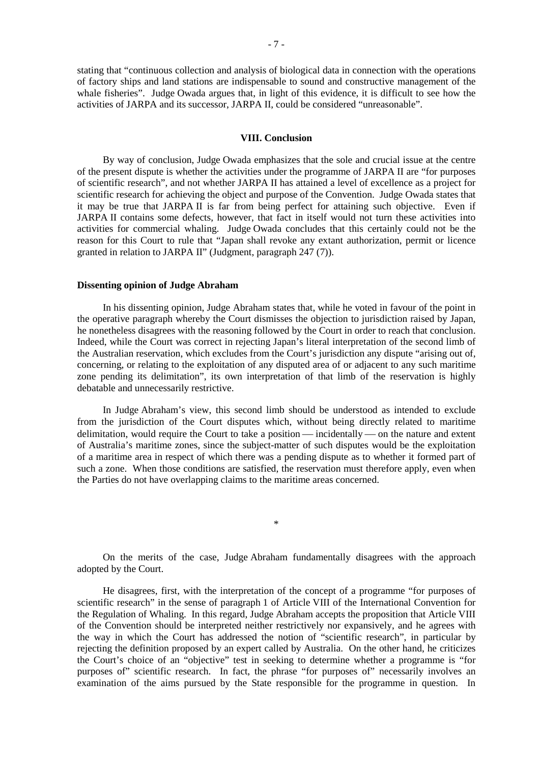stating that "continuous collection and analysis of biological data in connection with the operations of factory ships and land stations are indispensable to sound and constructive management of the whale fisheries". Judge Owada argues that, in light of this evidence, it is difficult to see how the activities of JARPA and its successor, JARPA II, could be considered "unreasonable".

## **VIII. Conclusion**

By way of conclusion, Judge Owada emphasizes that the sole and crucial issue at the centre of the present dispute is whether the activities under the programme of JARPA II are "for purposes of scientific research", and not whether JARPA II has attained a level of excellence as a project for scientific research for achieving the object and purpose of the Convention. Judge Owada states that it may be true that JARPA II is far from being perfect for attaining such objective. Even if JARPA II contains some defects, however, that fact in itself would not turn these activities into activities for commercial whaling. Judge Owada concludes that this certainly could not be the reason for this Court to rule that "Japan shall revoke any extant authorization, permit or licence granted in relation to JARPA II" (Judgment, paragraph 247 (7)).

#### **Dissenting opinion of Judge Abraham**

In his dissenting opinion, Judge Abraham states that, while he voted in favour of the point in the operative paragraph whereby the Court dismisses the objection to jurisdiction raised by Japan, he nonetheless disagrees with the reasoning followed by the Court in order to reach that conclusion. Indeed, while the Court was correct in rejecting Japan's literal interpretation of the second limb of the Australian reservation, which excludes from the Court's jurisdiction any dispute "arising out of, concerning, or relating to the exploitation of any disputed area of or adjacent to any such maritime zone pending its delimitation", its own interpretation of that limb of the reservation is highly debatable and unnecessarily restrictive.

In Judge Abraham's view, this second limb should be understood as intended to exclude from the jurisdiction of the Court disputes which, without being directly related to maritime delimitation, would require the Court to take a position — incidentally — on the nature and extent of Australia's maritime zones, since the subject-matter of such disputes would be the exploitation of a maritime area in respect of which there was a pending dispute as to whether it formed part of such a zone. When those conditions are satisfied, the reservation must therefore apply, even when the Parties do not have overlapping claims to the maritime areas concerned.

On the merits of the case, Judge Abraham fundamentally disagrees with the approach adopted by the Court.

\*

He disagrees, first, with the interpretation of the concept of a programme "for purposes of scientific research" in the sense of paragraph 1 of Article VIII of the International Convention for the Regulation of Whaling. In this regard, Judge Abraham accepts the proposition that Article VIII of the Convention should be interpreted neither restrictively nor expansively, and he agrees with the way in which the Court has addressed the notion of "scientific research", in particular by rejecting the definition proposed by an expert called by Australia. On the other hand, he criticizes the Court's choice of an "objective" test in seeking to determine whether a programme is "for purposes of" scientific research. In fact, the phrase "for purposes of" necessarily involves an examination of the aims pursued by the State responsible for the programme in question. In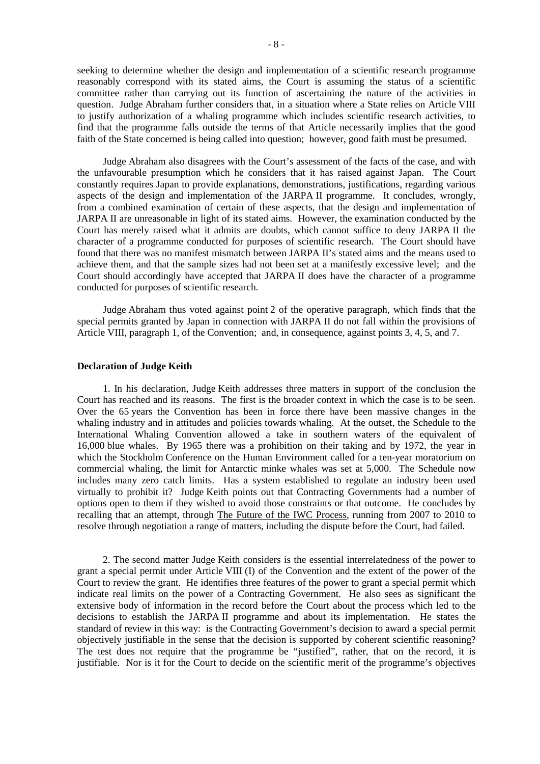seeking to determine whether the design and implementation of a scientific research programme reasonably correspond with its stated aims, the Court is assuming the status of a scientific committee rather than carrying out its function of ascertaining the nature of the activities in question. Judge Abraham further considers that, in a situation where a State relies on Article VIII to justify authorization of a whaling programme which includes scientific research activities, to find that the programme falls outside the terms of that Article necessarily implies that the good faith of the State concerned is being called into question; however, good faith must be presumed.

Judge Abraham also disagrees with the Court's assessment of the facts of the case, and with the unfavourable presumption which he considers that it has raised against Japan. The Court constantly requires Japan to provide explanations, demonstrations, justifications, regarding various aspects of the design and implementation of the JARPA II programme. It concludes, wrongly, from a combined examination of certain of these aspects, that the design and implementation of JARPA II are unreasonable in light of its stated aims. However, the examination conducted by the Court has merely raised what it admits are doubts, which cannot suffice to deny JARPA II the character of a programme conducted for purposes of scientific research. The Court should have found that there was no manifest mismatch between JARPA II's stated aims and the means used to achieve them, and that the sample sizes had not been set at a manifestly excessive level; and the Court should accordingly have accepted that JARPA II does have the character of a programme conducted for purposes of scientific research.

Judge Abraham thus voted against point 2 of the operative paragraph, which finds that the special permits granted by Japan in connection with JARPA II do not fall within the provisions of Article VIII, paragraph 1, of the Convention; and, in consequence, against points 3, 4, 5, and 7.

#### **Declaration of Judge Keith**

1. In his declaration, Judge Keith addresses three matters in support of the conclusion the Court has reached and its reasons. The first is the broader context in which the case is to be seen. Over the 65 years the Convention has been in force there have been massive changes in the whaling industry and in attitudes and policies towards whaling. At the outset, the Schedule to the International Whaling Convention allowed a take in southern waters of the equivalent of 16,000 blue whales. By 1965 there was a prohibition on their taking and by 1972, the year in which the Stockholm Conference on the Human Environment called for a ten-year moratorium on commercial whaling, the limit for Antarctic minke whales was set at 5,000. The Schedule now includes many zero catch limits. Has a system established to regulate an industry been used virtually to prohibit it? Judge Keith points out that Contracting Governments had a number of options open to them if they wished to avoid those constraints or that outcome. He concludes by recalling that an attempt, through The Future of the IWC Process, running from 2007 to 2010 to resolve through negotiation a range of matters, including the dispute before the Court, had failed.

2. The second matter Judge Keith considers is the essential interrelatedness of the power to grant a special permit under Article VIII (I) of the Convention and the extent of the power of the Court to review the grant. He identifies three features of the power to grant a special permit which indicate real limits on the power of a Contracting Government. He also sees as significant the extensive body of information in the record before the Court about the process which led to the decisions to establish the JARPA II programme and about its implementation. He states the standard of review in this way: is the Contracting Government's decision to award a special permit objectively justifiable in the sense that the decision is supported by coherent scientific reasoning? The test does not require that the programme be "justified", rather, that on the record, it is justifiable. Nor is it for the Court to decide on the scientific merit of the programme's objectives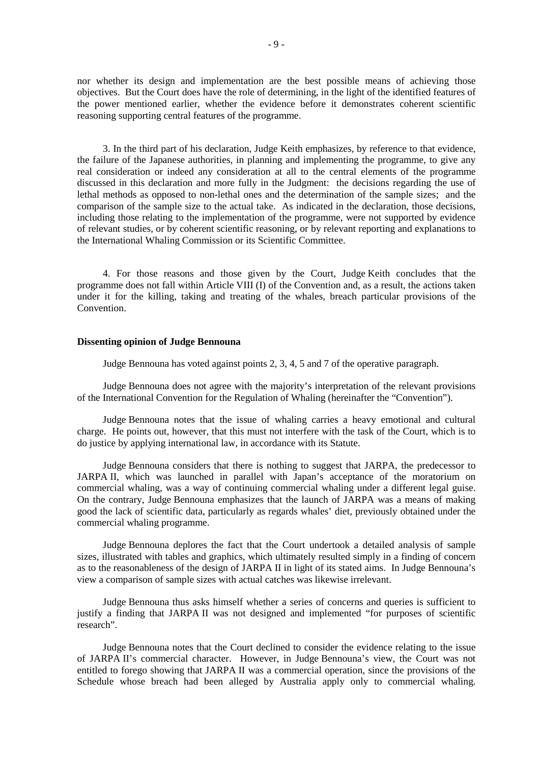nor whether its design and implementation are the best possible means of achieving those objectives. But the Court does have the role of determining, in the light of the identified features of the power mentioned earlier, whether the evidence before it demonstrates coherent scientific reasoning supporting central features of the programme.

3. In the third part of his declaration, Judge Keith emphasizes, by reference to that evidence, the failure of the Japanese authorities, in planning and implementing the programme, to give any real consideration or indeed any consideration at all to the central elements of the programme discussed in this declaration and more fully in the Judgment: the decisions regarding the use of lethal methods as opposed to non-lethal ones and the determination of the sample sizes; and the comparison of the sample size to the actual take. As indicated in the declaration, those decisions, including those relating to the implementation of the programme, were not supported by evidence of relevant studies, or by coherent scientific reasoning, or by relevant reporting and explanations to the International Whaling Commission or its Scientific Committee.

4. For those reasons and those given by the Court, Judge Keith concludes that the programme does not fall within Article VIII (I) of the Convention and, as a result, the actions taken under it for the killing, taking and treating of the whales, breach particular provisions of the Convention.

## **Dissenting opinion of Judge Bennouna**

Judge Bennouna has voted against points 2, 3, 4, 5 and 7 of the operative paragraph.

Judge Bennouna does not agree with the majority's interpretation of the relevant provisions of the International Convention for the Regulation of Whaling (hereinafter the "Convention").

Judge Bennouna notes that the issue of whaling carries a heavy emotional and cultural charge. He points out, however, that this must not interfere with the task of the Court, which is to do justice by applying international law, in accordance with its Statute.

Judge Bennouna considers that there is nothing to suggest that JARPA, the predecessor to JARPA II, which was launched in parallel with Japan's acceptance of the moratorium on commercial whaling, was a way of continuing commercial whaling under a different legal guise. On the contrary, Judge Bennouna emphasizes that the launch of JARPA was a means of making good the lack of scientific data, particularly as regards whales' diet, previously obtained under the commercial whaling programme.

Judge Bennouna deplores the fact that the Court undertook a detailed analysis of sample sizes, illustrated with tables and graphics, which ultimately resulted simply in a finding of concern as to the reasonableness of the design of JARPA II in light of its stated aims. In Judge Bennouna's view a comparison of sample sizes with actual catches was likewise irrelevant.

Judge Bennouna thus asks himself whether a series of concerns and queries is sufficient to justify a finding that JARPA II was not designed and implemented "for purposes of scientific research".

Judge Bennouna notes that the Court declined to consider the evidence relating to the issue of JARPA II's commercial character. However, in Judge Bennouna's view, the Court was not entitled to forego showing that JARPA II was a commercial operation, since the provisions of the Schedule whose breach had been alleged by Australia apply only to commercial whaling.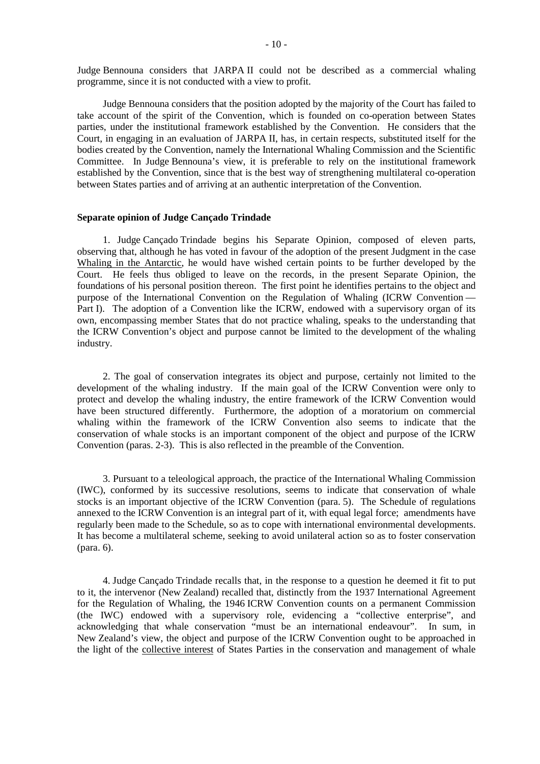Judge Bennouna considers that JARPA II could not be described as a commercial whaling programme, since it is not conducted with a view to profit.

Judge Bennouna considers that the position adopted by the majority of the Court has failed to take account of the spirit of the Convention, which is founded on co-operation between States parties, under the institutional framework established by the Convention. He considers that the Court, in engaging in an evaluation of JARPA II, has, in certain respects, substituted itself for the bodies created by the Convention, namely the International Whaling Commission and the Scientific Committee. In Judge Bennouna's view, it is preferable to rely on the institutional framework established by the Convention, since that is the best way of strengthening multilateral co-operation between States parties and of arriving at an authentic interpretation of the Convention.

## **Separate opinion of Judge Cançado Trindade**

1. Judge Cançado Trindade begins his Separate Opinion, composed of eleven parts, observing that, although he has voted in favour of the adoption of the present Judgment in the case Whaling in the Antarctic, he would have wished certain points to be further developed by the Court. He feels thus obliged to leave on the records, in the present Separate Opinion, the foundations of his personal position thereon. The first point he identifies pertains to the object and purpose of the International Convention on the Regulation of Whaling (ICRW Convention — Part I). The adoption of a Convention like the ICRW, endowed with a supervisory organ of its own, encompassing member States that do not practice whaling, speaks to the understanding that the ICRW Convention's object and purpose cannot be limited to the development of the whaling industry.

2. The goal of conservation integrates its object and purpose, certainly not limited to the development of the whaling industry. If the main goal of the ICRW Convention were only to protect and develop the whaling industry, the entire framework of the ICRW Convention would have been structured differently. Furthermore, the adoption of a moratorium on commercial whaling within the framework of the ICRW Convention also seems to indicate that the conservation of whale stocks is an important component of the object and purpose of the ICRW Convention (paras. 2-3). This is also reflected in the preamble of the Convention.

3. Pursuant to a teleological approach, the practice of the International Whaling Commission (IWC), conformed by its successive resolutions, seems to indicate that conservation of whale stocks is an important objective of the ICRW Convention (para. 5). The Schedule of regulations annexed to the ICRW Convention is an integral part of it, with equal legal force; amendments have regularly been made to the Schedule, so as to cope with international environmental developments. It has become a multilateral scheme, seeking to avoid unilateral action so as to foster conservation (para. 6).

4. Judge Cançado Trindade recalls that, in the response to a question he deemed it fit to put to it, the intervenor (New Zealand) recalled that, distinctly from the 1937 International Agreement for the Regulation of Whaling, the 1946 ICRW Convention counts on a permanent Commission (the IWC) endowed with a supervisory role, evidencing a "collective enterprise", and acknowledging that whale conservation "must be an international endeavour". In sum, in New Zealand's view, the object and purpose of the ICRW Convention ought to be approached in the light of the collective interest of States Parties in the conservation and management of whale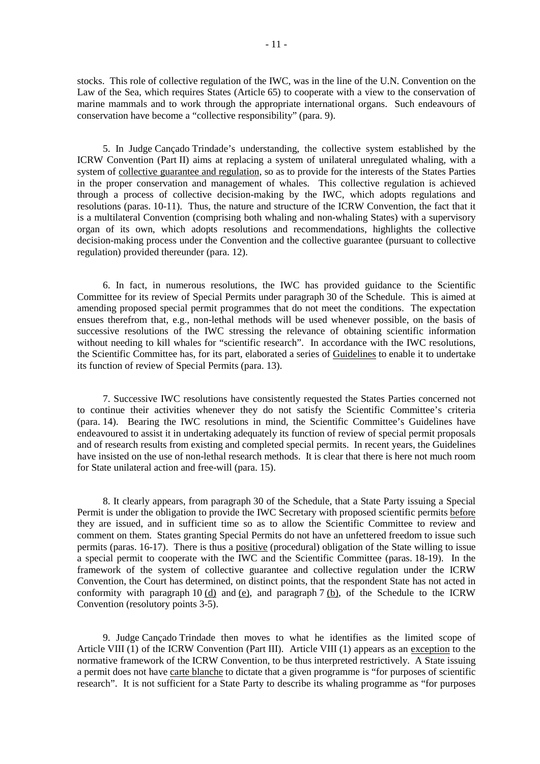stocks. This role of collective regulation of the IWC, was in the line of the U.N. Convention on the Law of the Sea, which requires States (Article 65) to cooperate with a view to the conservation of marine mammals and to work through the appropriate international organs. Such endeavours of conservation have become a "collective responsibility" (para. 9).

5. In Judge Cançado Trindade's understanding, the collective system established by the ICRW Convention (Part II) aims at replacing a system of unilateral unregulated whaling, with a system of collective guarantee and regulation, so as to provide for the interests of the States Parties in the proper conservation and management of whales. This collective regulation is achieved through a process of collective decision-making by the IWC, which adopts regulations and resolutions (paras. 10-11). Thus, the nature and structure of the ICRW Convention, the fact that it is a multilateral Convention (comprising both whaling and non-whaling States) with a supervisory organ of its own, which adopts resolutions and recommendations, highlights the collective decision-making process under the Convention and the collective guarantee (pursuant to collective regulation) provided thereunder (para. 12).

6. In fact, in numerous resolutions, the IWC has provided guidance to the Scientific Committee for its review of Special Permits under paragraph 30 of the Schedule. This is aimed at amending proposed special permit programmes that do not meet the conditions. The expectation ensues therefrom that, e.g., non-lethal methods will be used whenever possible, on the basis of successive resolutions of the IWC stressing the relevance of obtaining scientific information without needing to kill whales for "scientific research". In accordance with the IWC resolutions, the Scientific Committee has, for its part, elaborated a series of Guidelines to enable it to undertake its function of review of Special Permits (para. 13).

7. Successive IWC resolutions have consistently requested the States Parties concerned not to continue their activities whenever they do not satisfy the Scientific Committee's criteria (para. 14). Bearing the IWC resolutions in mind, the Scientific Committee's Guidelines have endeavoured to assist it in undertaking adequately its function of review of special permit proposals and of research results from existing and completed special permits. In recent years, the Guidelines have insisted on the use of non-lethal research methods. It is clear that there is here not much room for State unilateral action and free-will (para. 15).

8. It clearly appears, from paragraph 30 of the Schedule, that a State Party issuing a Special Permit is under the obligation to provide the IWC Secretary with proposed scientific permits before they are issued, and in sufficient time so as to allow the Scientific Committee to review and comment on them. States granting Special Permits do not have an unfettered freedom to issue such permits (paras. 16-17). There is thus a positive (procedural) obligation of the State willing to issue a special permit to cooperate with the IWC and the Scientific Committee (paras. 18-19). In the framework of the system of collective guarantee and collective regulation under the ICRW Convention, the Court has determined, on distinct points, that the respondent State has not acted in conformity with paragraph 10 (d) and (e), and paragraph 7 (b), of the Schedule to the ICRW Convention (resolutory points 3-5).

9. Judge Cançado Trindade then moves to what he identifies as the limited scope of Article VIII (1) of the ICRW Convention (Part III). Article VIII (1) appears as an exception to the normative framework of the ICRW Convention, to be thus interpreted restrictively. A State issuing a permit does not have carte blanche to dictate that a given programme is "for purposes of scientific research". It is not sufficient for a State Party to describe its whaling programme as "for purposes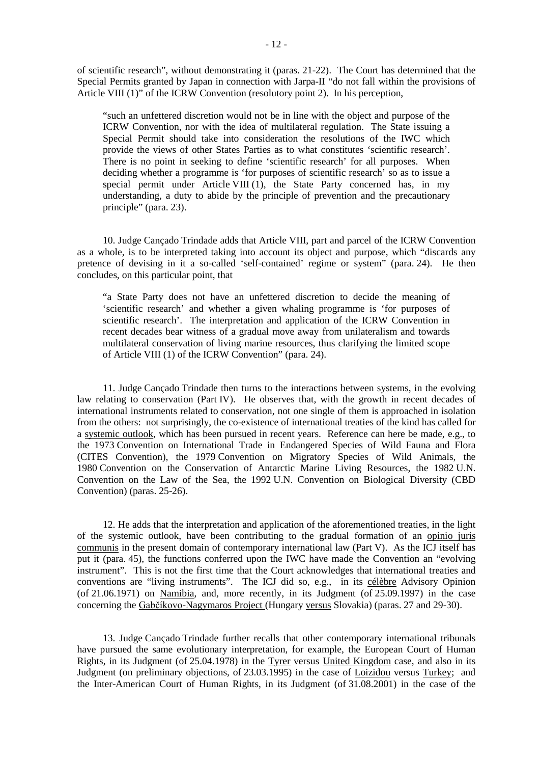of scientific research", without demonstrating it (paras. 21-22). The Court has determined that the Special Permits granted by Japan in connection with Jarpa-II "do not fall within the provisions of Article VIII (1)" of the ICRW Convention (resolutory point 2). In his perception,

"such an unfettered discretion would not be in line with the object and purpose of the ICRW Convention, nor with the idea of multilateral regulation. The State issuing a Special Permit should take into consideration the resolutions of the IWC which provide the views of other States Parties as to what constitutes 'scientific research'. There is no point in seeking to define 'scientific research' for all purposes. When deciding whether a programme is 'for purposes of scientific research' so as to issue a special permit under Article VIII (1), the State Party concerned has, in my understanding, a duty to abide by the principle of prevention and the precautionary principle" (para. 23).

10. Judge Cançado Trindade adds that Article VIII, part and parcel of the ICRW Convention as a whole, is to be interpreted taking into account its object and purpose, which "discards any pretence of devising in it a so-called 'self-contained' regime or system" (para. 24). He then concludes, on this particular point, that

"a State Party does not have an unfettered discretion to decide the meaning of 'scientific research' and whether a given whaling programme is 'for purposes of scientific research'. The interpretation and application of the ICRW Convention in recent decades bear witness of a gradual move away from unilateralism and towards multilateral conservation of living marine resources, thus clarifying the limited scope of Article VIII (1) of the ICRW Convention" (para. 24).

11. Judge Cançado Trindade then turns to the interactions between systems, in the evolving law relating to conservation (Part IV). He observes that, with the growth in recent decades of international instruments related to conservation, not one single of them is approached in isolation from the others: not surprisingly, the co-existence of international treaties of the kind has called for a systemic outlook, which has been pursued in recent years. Reference can here be made, e.g., to the 1973 Convention on International Trade in Endangered Species of Wild Fauna and Flora (CITES Convention), the 1979 Convention on Migratory Species of Wild Animals, the 1980 Convention on the Conservation of Antarctic Marine Living Resources, the 1982 U.N. Convention on the Law of the Sea, the 1992 U.N. Convention on Biological Diversity (CBD Convention) (paras. 25-26).

12. He adds that the interpretation and application of the aforementioned treaties, in the light of the systemic outlook, have been contributing to the gradual formation of an opinio juris communis in the present domain of contemporary international law (Part V). As the ICJ itself has put it (para. 45), the functions conferred upon the IWC have made the Convention an "evolving instrument". This is not the first time that the Court acknowledges that international treaties and conventions are "living instruments". The ICJ did so, e.g., in its célèbre Advisory Opinion (of 21.06.1971) on Namibia, and, more recently, in its Judgment (of 25.09.1997) in the case concerning the Gabčíkovo-Nagymaros Project (Hungary versus Slovakia) (paras. 27 and 29-30).

13. Judge Cançado Trindade further recalls that other contemporary international tribunals have pursued the same evolutionary interpretation, for example, the European Court of Human Rights, in its Judgment (of 25.04.1978) in the Tyrer versus United Kingdom case, and also in its Judgment (on preliminary objections, of 23.03.1995) in the case of Loizidou versus Turkey; and the Inter-American Court of Human Rights, in its Judgment (of 31.08.2001) in the case of the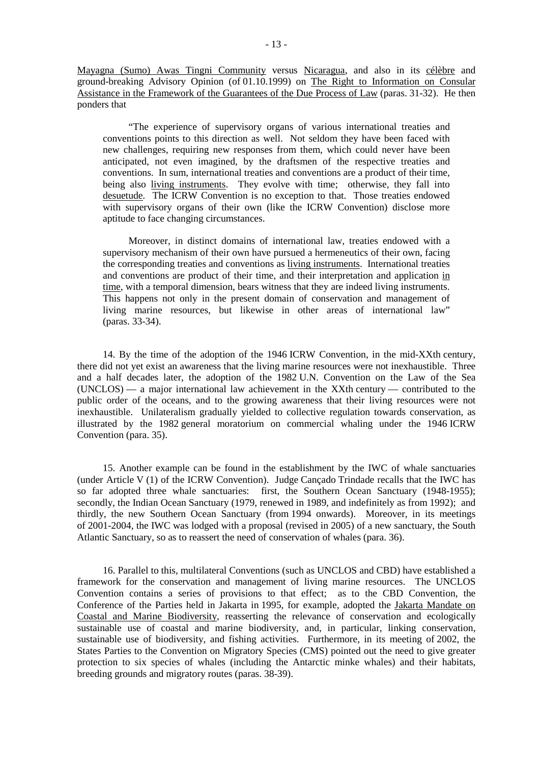Mayagna (Sumo) Awas Tingni Community versus Nicaragua, and also in its célèbre and ground-breaking Advisory Opinion (of 01.10.1999) on The Right to Information on Consular Assistance in the Framework of the Guarantees of the Due Process of Law (paras. 31-32). He then ponders that

"The experience of supervisory organs of various international treaties and conventions points to this direction as well. Not seldom they have been faced with new challenges, requiring new responses from them, which could never have been anticipated, not even imagined, by the draftsmen of the respective treaties and conventions. In sum, international treaties and conventions are a product of their time, being also living instruments. They evolve with time; otherwise, they fall into desuetude. The ICRW Convention is no exception to that. Those treaties endowed with supervisory organs of their own (like the ICRW Convention) disclose more aptitude to face changing circumstances.

Moreover, in distinct domains of international law, treaties endowed with a supervisory mechanism of their own have pursued a hermeneutics of their own, facing the corresponding treaties and conventions as living instruments. International treaties and conventions are product of their time, and their interpretation and application in time, with a temporal dimension, bears witness that they are indeed living instruments. This happens not only in the present domain of conservation and management of living marine resources, but likewise in other areas of international law" (paras. 33-34).

14. By the time of the adoption of the 1946 ICRW Convention, in the mid-XXth century, there did not yet exist an awareness that the living marine resources were not inexhaustible. Three and a half decades later, the adoption of the 1982 U.N. Convention on the Law of the Sea (UNCLOS) — a major international law achievement in the XXth century — contributed to the public order of the oceans, and to the growing awareness that their living resources were not inexhaustible. Unilateralism gradually yielded to collective regulation towards conservation, as illustrated by the 1982 general moratorium on commercial whaling under the 1946 ICRW Convention (para. 35).

15. Another example can be found in the establishment by the IWC of whale sanctuaries (under Article V (1) of the ICRW Convention). Judge Cançado Trindade recalls that the IWC has so far adopted three whale sanctuaries: first, the Southern Ocean Sanctuary (1948-1955); secondly, the Indian Ocean Sanctuary (1979, renewed in 1989, and indefinitely as from 1992); and thirdly, the new Southern Ocean Sanctuary (from 1994 onwards). Moreover, in its meetings of 2001-2004, the IWC was lodged with a proposal (revised in 2005) of a new sanctuary, the South Atlantic Sanctuary, so as to reassert the need of conservation of whales (para. 36).

16. Parallel to this, multilateral Conventions (such as UNCLOS and CBD) have established a framework for the conservation and management of living marine resources. The UNCLOS Convention contains a series of provisions to that effect; as to the CBD Convention, the Conference of the Parties held in Jakarta in 1995, for example, adopted the Jakarta Mandate on Coastal and Marine Biodiversity, reasserting the relevance of conservation and ecologically sustainable use of coastal and marine biodiversity, and, in particular, linking conservation, sustainable use of biodiversity, and fishing activities. Furthermore, in its meeting of 2002, the States Parties to the Convention on Migratory Species (CMS) pointed out the need to give greater protection to six species of whales (including the Antarctic minke whales) and their habitats, breeding grounds and migratory routes (paras. 38-39).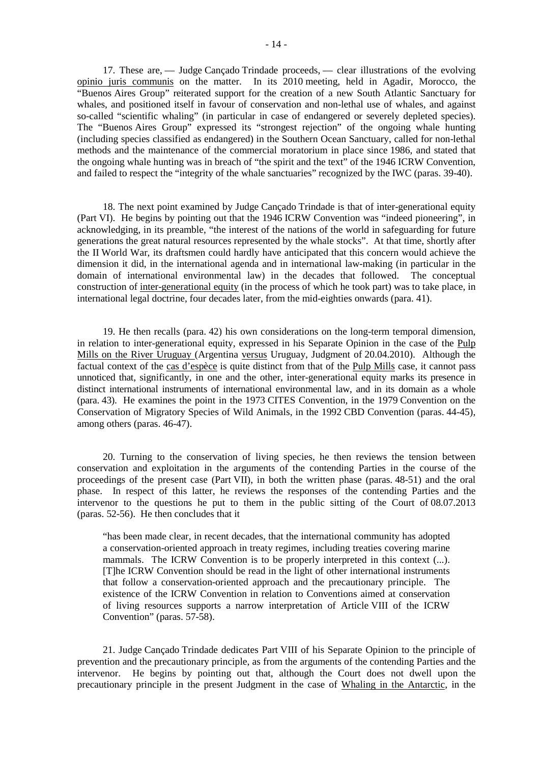17. These are, — Judge Cançado Trindade proceeds, — clear illustrations of the evolving opinio juris communis on the matter. In its 2010 meeting, held in Agadir, Morocco, the "Buenos Aires Group" reiterated support for the creation of a new South Atlantic Sanctuary for whales, and positioned itself in favour of conservation and non-lethal use of whales, and against so-called "scientific whaling" (in particular in case of endangered or severely depleted species). The "Buenos Aires Group" expressed its "strongest rejection" of the ongoing whale hunting (including species classified as endangered) in the Southern Ocean Sanctuary, called for non-lethal methods and the maintenance of the commercial moratorium in place since 1986, and stated that the ongoing whale hunting was in breach of "the spirit and the text" of the 1946 ICRW Convention, and failed to respect the "integrity of the whale sanctuaries" recognized by the IWC (paras. 39-40).

18. The next point examined by Judge Cançado Trindade is that of inter-generational equity (Part VI). He begins by pointing out that the 1946 ICRW Convention was "indeed pioneering", in acknowledging, in its preamble, "the interest of the nations of the world in safeguarding for future generations the great natural resources represented by the whale stocks". At that time, shortly after the II World War, its draftsmen could hardly have anticipated that this concern would achieve the dimension it did, in the international agenda and in international law-making (in particular in the domain of international environmental law) in the decades that followed. The conceptual construction of inter-generational equity (in the process of which he took part) was to take place, in international legal doctrine, four decades later, from the mid-eighties onwards (para. 41).

19. He then recalls (para. 42) his own considerations on the long-term temporal dimension, in relation to inter-generational equity, expressed in his Separate Opinion in the case of the Pulp Mills on the River Uruguay (Argentina versus Uruguay, Judgment of 20.04.2010). Although the factual context of the cas d'espèce is quite distinct from that of the Pulp Mills case, it cannot pass unnoticed that, significantly, in one and the other, inter-generational equity marks its presence in distinct international instruments of international environmental law, and in its domain as a whole (para. 43). He examines the point in the 1973 CITES Convention, in the 1979 Convention on the Conservation of Migratory Species of Wild Animals, in the 1992 CBD Convention (paras. 44-45), among others (paras. 46-47).

20. Turning to the conservation of living species, he then reviews the tension between conservation and exploitation in the arguments of the contending Parties in the course of the proceedings of the present case (Part VII), in both the written phase (paras. 48-51) and the oral phase. In respect of this latter, he reviews the responses of the contending Parties and the intervenor to the questions he put to them in the public sitting of the Court of 08.07.2013 (paras. 52-56). He then concludes that it

"has been made clear, in recent decades, that the international community has adopted a conservation-oriented approach in treaty regimes, including treaties covering marine mammals. The ICRW Convention is to be properly interpreted in this context (...). [T]he ICRW Convention should be read in the light of other international instruments that follow a conservation-oriented approach and the precautionary principle. The existence of the ICRW Convention in relation to Conventions aimed at conservation of living resources supports a narrow interpretation of Article VIII of the ICRW Convention" (paras. 57-58).

21. Judge Cançado Trindade dedicates Part VIII of his Separate Opinion to the principle of prevention and the precautionary principle, as from the arguments of the contending Parties and the intervenor. He begins by pointing out that, although the Court does not dwell upon the precautionary principle in the present Judgment in the case of Whaling in the Antarctic, in the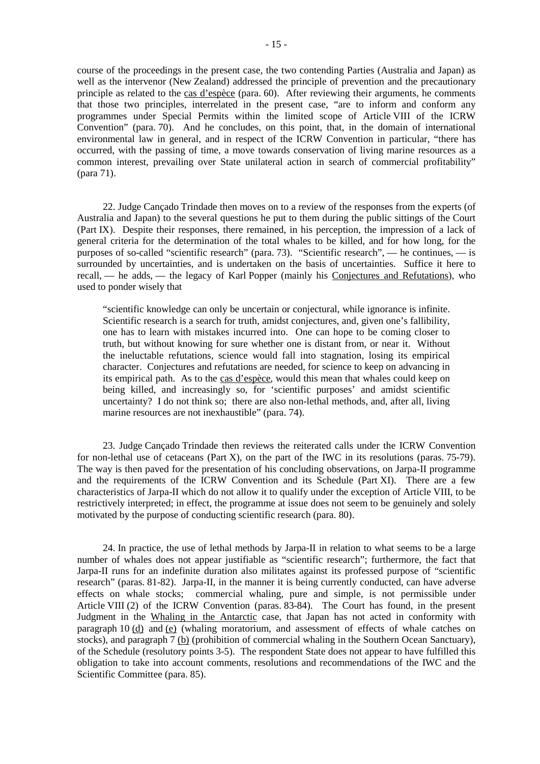course of the proceedings in the present case, the two contending Parties (Australia and Japan) as well as the intervenor (New Zealand) addressed the principle of prevention and the precautionary principle as related to the cas d'espèce (para. 60). After reviewing their arguments, he comments that those two principles, interrelated in the present case, "are to inform and conform any programmes under Special Permits within the limited scope of Article VIII of the ICRW Convention" (para. 70). And he concludes, on this point, that, in the domain of international environmental law in general, and in respect of the ICRW Convention in particular, "there has occurred, with the passing of time, a move towards conservation of living marine resources as a common interest, prevailing over State unilateral action in search of commercial profitability" (para 71).

22. Judge Cançado Trindade then moves on to a review of the responses from the experts (of Australia and Japan) to the several questions he put to them during the public sittings of the Court (Part IX). Despite their responses, there remained, in his perception, the impression of a lack of general criteria for the determination of the total whales to be killed, and for how long, for the purposes of so-called "scientific research" (para. 73). "Scientific research", — he continues, — is surrounded by uncertainties, and is undertaken on the basis of uncertainties. Suffice it here to recall, — he adds, — the legacy of Karl Popper (mainly his Conjectures and Refutations), who used to ponder wisely that

"scientific knowledge can only be uncertain or conjectural, while ignorance is infinite. Scientific research is a search for truth, amidst conjectures, and, given one's fallibility, one has to learn with mistakes incurred into. One can hope to be coming closer to truth, but without knowing for sure whether one is distant from, or near it. Without the ineluctable refutations, science would fall into stagnation, losing its empirical character. Conjectures and refutations are needed, for science to keep on advancing in its empirical path. As to the cas d'espèce, would this mean that whales could keep on being killed, and increasingly so, for 'scientific purposes' and amidst scientific uncertainty? I do not think so; there are also non-lethal methods, and, after all, living marine resources are not inexhaustible" (para. 74).

23. Judge Cançado Trindade then reviews the reiterated calls under the ICRW Convention for non-lethal use of cetaceans (Part X), on the part of the IWC in its resolutions (paras. 75-79). The way is then paved for the presentation of his concluding observations, on Jarpa-II programme and the requirements of the ICRW Convention and its Schedule (Part XI). There are a few characteristics of Jarpa-II which do not allow it to qualify under the exception of Article VIII, to be restrictively interpreted; in effect, the programme at issue does not seem to be genuinely and solely motivated by the purpose of conducting scientific research (para. 80).

24. In practice, the use of lethal methods by Jarpa-II in relation to what seems to be a large number of whales does not appear justifiable as "scientific research"; furthermore, the fact that Jarpa-II runs for an indefinite duration also militates against its professed purpose of "scientific research" (paras. 81-82). Jarpa-II, in the manner it is being currently conducted, can have adverse effects on whale stocks; commercial whaling, pure and simple, is not permissible under Article VIII (2) of the ICRW Convention (paras. 83-84). The Court has found, in the present Judgment in the Whaling in the Antarctic case, that Japan has not acted in conformity with paragraph 10 (d) and (e) (whaling moratorium, and assessment of effects of whale catches on stocks), and paragraph 7 (b) (prohibition of commercial whaling in the Southern Ocean Sanctuary), of the Schedule (resolutory points 3-5). The respondent State does not appear to have fulfilled this obligation to take into account comments, resolutions and recommendations of the IWC and the Scientific Committee (para. 85).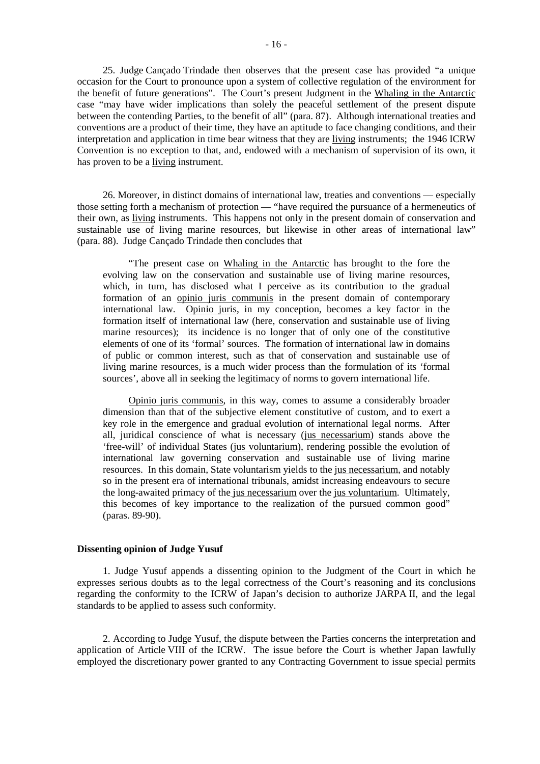25. Judge Cançado Trindade then observes that the present case has provided "a unique occasion for the Court to pronounce upon a system of collective regulation of the environment for the benefit of future generations". The Court's present Judgment in the Whaling in the Antarctic case "may have wider implications than solely the peaceful settlement of the present dispute between the contending Parties, to the benefit of all" (para. 87). Although international treaties and conventions are a product of their time, they have an aptitude to face changing conditions, and their interpretation and application in time bear witness that they are living instruments; the 1946 ICRW Convention is no exception to that, and, endowed with a mechanism of supervision of its own, it has proven to be a living instrument.

26. Moreover, in distinct domains of international law, treaties and conventions — especially those setting forth a mechanism of protection — "have required the pursuance of a hermeneutics of their own, as living instruments. This happens not only in the present domain of conservation and sustainable use of living marine resources, but likewise in other areas of international law" (para. 88). Judge Cançado Trindade then concludes that

"The present case on Whaling in the Antarctic has brought to the fore the evolving law on the conservation and sustainable use of living marine resources, which, in turn, has disclosed what I perceive as its contribution to the gradual formation of an opinio juris communis in the present domain of contemporary international law. Opinio juris, in my conception, becomes a key factor in the formation itself of international law (here, conservation and sustainable use of living marine resources); its incidence is no longer that of only one of the constitutive elements of one of its 'formal' sources. The formation of international law in domains of public or common interest, such as that of conservation and sustainable use of living marine resources, is a much wider process than the formulation of its 'formal sources', above all in seeking the legitimacy of norms to govern international life.

Opinio juris communis, in this way, comes to assume a considerably broader dimension than that of the subjective element constitutive of custom, and to exert a key role in the emergence and gradual evolution of international legal norms. After all, juridical conscience of what is necessary (jus necessarium) stands above the 'free-will' of individual States (jus voluntarium), rendering possible the evolution of international law governing conservation and sustainable use of living marine resources. In this domain, State voluntarism yields to the jus necessarium, and notably so in the present era of international tribunals, amidst increasing endeavours to secure the long-awaited primacy of the jus necessarium over the jus voluntarium. Ultimately, this becomes of key importance to the realization of the pursued common good" (paras. 89-90).

#### **Dissenting opinion of Judge Yusuf**

1. Judge Yusuf appends a dissenting opinion to the Judgment of the Court in which he expresses serious doubts as to the legal correctness of the Court's reasoning and its conclusions regarding the conformity to the ICRW of Japan's decision to authorize JARPA II, and the legal standards to be applied to assess such conformity.

2. According to Judge Yusuf, the dispute between the Parties concerns the interpretation and application of Article VIII of the ICRW. The issue before the Court is whether Japan lawfully employed the discretionary power granted to any Contracting Government to issue special permits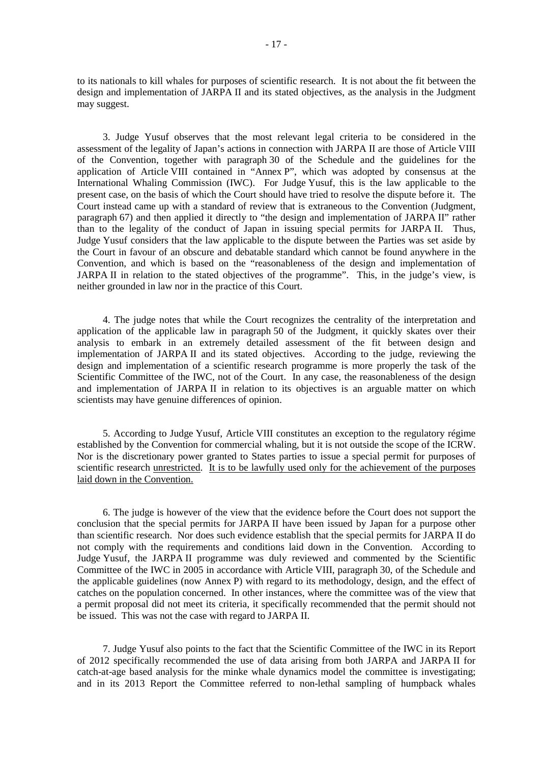to its nationals to kill whales for purposes of scientific research. It is not about the fit between the design and implementation of JARPA II and its stated objectives, as the analysis in the Judgment may suggest.

3. Judge Yusuf observes that the most relevant legal criteria to be considered in the assessment of the legality of Japan's actions in connection with JARPA II are those of Article VIII of the Convention, together with paragraph 30 of the Schedule and the guidelines for the application of Article VIII contained in "Annex P", which was adopted by consensus at the International Whaling Commission (IWC). For Judge Yusuf, this is the law applicable to the present case, on the basis of which the Court should have tried to resolve the dispute before it. The Court instead came up with a standard of review that is extraneous to the Convention (Judgment, paragraph 67) and then applied it directly to "the design and implementation of JARPA II" rather than to the legality of the conduct of Japan in issuing special permits for JARPA II. Thus, Judge Yusuf considers that the law applicable to the dispute between the Parties was set aside by the Court in favour of an obscure and debatable standard which cannot be found anywhere in the Convention, and which is based on the "reasonableness of the design and implementation of JARPA II in relation to the stated objectives of the programme". This, in the judge's view, is neither grounded in law nor in the practice of this Court.

4. The judge notes that while the Court recognizes the centrality of the interpretation and application of the applicable law in paragraph 50 of the Judgment, it quickly skates over their analysis to embark in an extremely detailed assessment of the fit between design and implementation of JARPA II and its stated objectives. According to the judge, reviewing the design and implementation of a scientific research programme is more properly the task of the Scientific Committee of the IWC, not of the Court. In any case, the reasonableness of the design and implementation of JARPA II in relation to its objectives is an arguable matter on which scientists may have genuine differences of opinion.

5. According to Judge Yusuf, Article VIII constitutes an exception to the regulatory régime established by the Convention for commercial whaling, but it is not outside the scope of the ICRW. Nor is the discretionary power granted to States parties to issue a special permit for purposes of scientific research unrestricted. It is to be lawfully used only for the achievement of the purposes laid down in the Convention.

6. The judge is however of the view that the evidence before the Court does not support the conclusion that the special permits for JARPA II have been issued by Japan for a purpose other than scientific research. Nor does such evidence establish that the special permits for JARPA II do not comply with the requirements and conditions laid down in the Convention. According to Judge Yusuf, the JARPA II programme was duly reviewed and commented by the Scientific Committee of the IWC in 2005 in accordance with Article VIII, paragraph 30, of the Schedule and the applicable guidelines (now Annex P) with regard to its methodology, design, and the effect of catches on the population concerned. In other instances, where the committee was of the view that a permit proposal did not meet its criteria, it specifically recommended that the permit should not be issued. This was not the case with regard to JARPA II.

7. Judge Yusuf also points to the fact that the Scientific Committee of the IWC in its Report of 2012 specifically recommended the use of data arising from both JARPA and JARPA II for catch-at-age based analysis for the minke whale dynamics model the committee is investigating; and in its 2013 Report the Committee referred to non-lethal sampling of humpback whales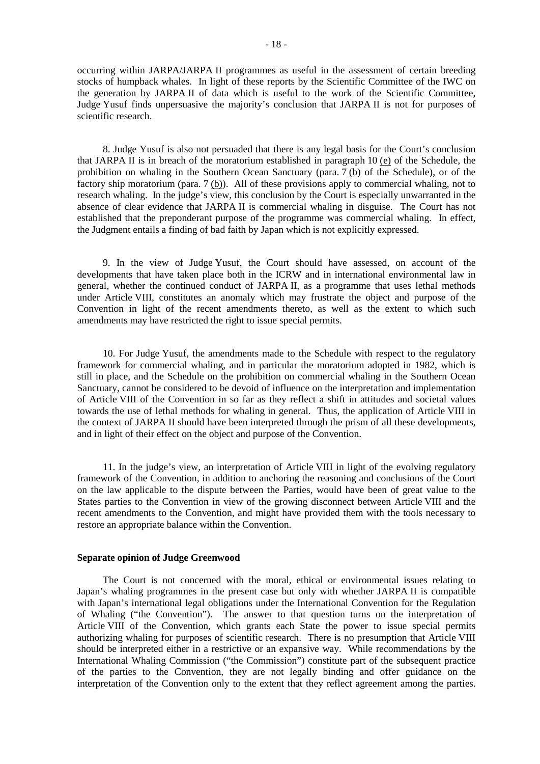occurring within JARPA/JARPA II programmes as useful in the assessment of certain breeding stocks of humpback whales. In light of these reports by the Scientific Committee of the IWC on the generation by JARPA II of data which is useful to the work of the Scientific Committee, Judge Yusuf finds unpersuasive the majority's conclusion that JARPA II is not for purposes of scientific research.

8. Judge Yusuf is also not persuaded that there is any legal basis for the Court's conclusion that JARPA II is in breach of the moratorium established in paragraph 10 (e) of the Schedule, the prohibition on whaling in the Southern Ocean Sanctuary (para. 7 (b) of the Schedule), or of the factory ship moratorium (para.  $7 \times (b)$ ). All of these provisions apply to commercial whaling, not to research whaling. In the judge's view, this conclusion by the Court is especially unwarranted in the absence of clear evidence that JARPA II is commercial whaling in disguise. The Court has not established that the preponderant purpose of the programme was commercial whaling. In effect, the Judgment entails a finding of bad faith by Japan which is not explicitly expressed.

9. In the view of Judge Yusuf, the Court should have assessed, on account of the developments that have taken place both in the ICRW and in international environmental law in general, whether the continued conduct of JARPA II, as a programme that uses lethal methods under Article VIII, constitutes an anomaly which may frustrate the object and purpose of the Convention in light of the recent amendments thereto, as well as the extent to which such amendments may have restricted the right to issue special permits.

10. For Judge Yusuf, the amendments made to the Schedule with respect to the regulatory framework for commercial whaling, and in particular the moratorium adopted in 1982, which is still in place, and the Schedule on the prohibition on commercial whaling in the Southern Ocean Sanctuary, cannot be considered to be devoid of influence on the interpretation and implementation of Article VIII of the Convention in so far as they reflect a shift in attitudes and societal values towards the use of lethal methods for whaling in general. Thus, the application of Article VIII in the context of JARPA II should have been interpreted through the prism of all these developments, and in light of their effect on the object and purpose of the Convention.

11. In the judge's view, an interpretation of Article VIII in light of the evolving regulatory framework of the Convention, in addition to anchoring the reasoning and conclusions of the Court on the law applicable to the dispute between the Parties, would have been of great value to the States parties to the Convention in view of the growing disconnect between Article VIII and the recent amendments to the Convention, and might have provided them with the tools necessary to restore an appropriate balance within the Convention.

## **Separate opinion of Judge Greenwood**

The Court is not concerned with the moral, ethical or environmental issues relating to Japan's whaling programmes in the present case but only with whether JARPA II is compatible with Japan's international legal obligations under the International Convention for the Regulation of Whaling ("the Convention"). The answer to that question turns on the interpretation of Article VIII of the Convention, which grants each State the power to issue special permits authorizing whaling for purposes of scientific research. There is no presumption that Article VIII should be interpreted either in a restrictive or an expansive way. While recommendations by the International Whaling Commission ("the Commission") constitute part of the subsequent practice of the parties to the Convention, they are not legally binding and offer guidance on the interpretation of the Convention only to the extent that they reflect agreement among the parties.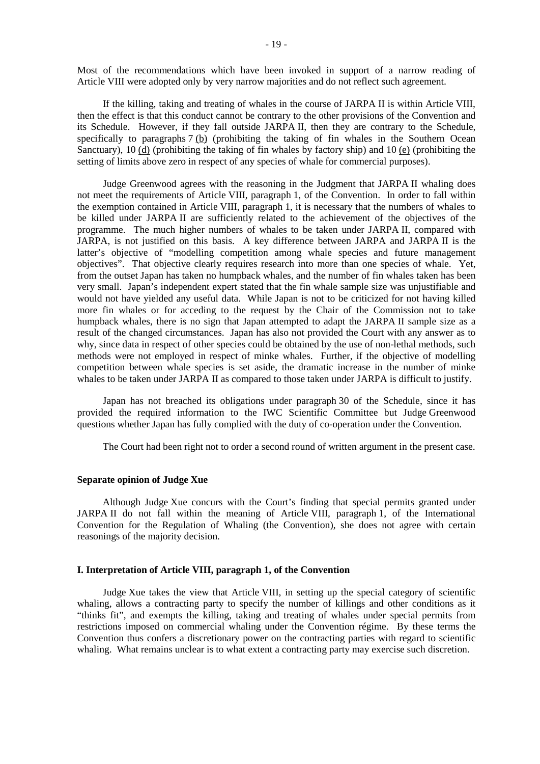Most of the recommendations which have been invoked in support of a narrow reading of Article VIII were adopted only by very narrow majorities and do not reflect such agreement.

If the killing, taking and treating of whales in the course of JARPA II is within Article VIII, then the effect is that this conduct cannot be contrary to the other provisions of the Convention and its Schedule. However, if they fall outside JARPA II, then they are contrary to the Schedule, specifically to paragraphs 7 (b) (prohibiting the taking of fin whales in the Southern Ocean Sanctuary), 10 (d) (prohibiting the taking of fin whales by factory ship) and 10 (e) (prohibiting the setting of limits above zero in respect of any species of whale for commercial purposes).

Judge Greenwood agrees with the reasoning in the Judgment that JARPA II whaling does not meet the requirements of Article VIII, paragraph 1, of the Convention. In order to fall within the exemption contained in Article VIII, paragraph 1, it is necessary that the numbers of whales to be killed under JARPA II are sufficiently related to the achievement of the objectives of the programme. The much higher numbers of whales to be taken under JARPA II, compared with JARPA, is not justified on this basis. A key difference between JARPA and JARPA II is the latter's objective of "modelling competition among whale species and future management objectives". That objective clearly requires research into more than one species of whale. Yet, from the outset Japan has taken no humpback whales, and the number of fin whales taken has been very small. Japan's independent expert stated that the fin whale sample size was unjustifiable and would not have yielded any useful data. While Japan is not to be criticized for not having killed more fin whales or for acceding to the request by the Chair of the Commission not to take humpback whales, there is no sign that Japan attempted to adapt the JARPA II sample size as a result of the changed circumstances. Japan has also not provided the Court with any answer as to why, since data in respect of other species could be obtained by the use of non-lethal methods, such methods were not employed in respect of minke whales. Further, if the objective of modelling competition between whale species is set aside, the dramatic increase in the number of minke whales to be taken under JARPA II as compared to those taken under JARPA is difficult to justify.

Japan has not breached its obligations under paragraph 30 of the Schedule, since it has provided the required information to the IWC Scientific Committee but Judge Greenwood questions whether Japan has fully complied with the duty of co-operation under the Convention.

The Court had been right not to order a second round of written argument in the present case.

#### **Separate opinion of Judge Xue**

Although Judge Xue concurs with the Court's finding that special permits granted under JARPA II do not fall within the meaning of Article VIII, paragraph 1, of the International Convention for the Regulation of Whaling (the Convention), she does not agree with certain reasonings of the majority decision.

## **I. Interpretation of Article VIII, paragraph 1, of the Convention**

Judge Xue takes the view that Article VIII, in setting up the special category of scientific whaling, allows a contracting party to specify the number of killings and other conditions as it "thinks fit", and exempts the killing, taking and treating of whales under special permits from restrictions imposed on commercial whaling under the Convention régime. By these terms the Convention thus confers a discretionary power on the contracting parties with regard to scientific whaling. What remains unclear is to what extent a contracting party may exercise such discretion.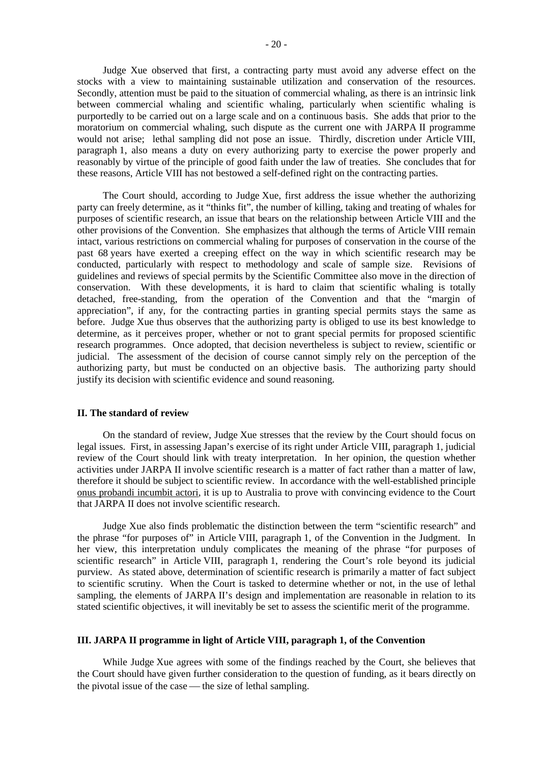Judge Xue observed that first, a contracting party must avoid any adverse effect on the stocks with a view to maintaining sustainable utilization and conservation of the resources. Secondly, attention must be paid to the situation of commercial whaling, as there is an intrinsic link between commercial whaling and scientific whaling, particularly when scientific whaling is purportedly to be carried out on a large scale and on a continuous basis. She adds that prior to the moratorium on commercial whaling, such dispute as the current one with JARPA II programme would not arise; lethal sampling did not pose an issue. Thirdly, discretion under Article VIII, paragraph 1, also means a duty on every authorizing party to exercise the power properly and reasonably by virtue of the principle of good faith under the law of treaties. She concludes that for these reasons, Article VIII has not bestowed a self-defined right on the contracting parties.

The Court should, according to Judge Xue, first address the issue whether the authorizing party can freely determine, as it "thinks fit", the number of killing, taking and treating of whales for purposes of scientific research, an issue that bears on the relationship between Article VIII and the other provisions of the Convention. She emphasizes that although the terms of Article VIII remain intact, various restrictions on commercial whaling for purposes of conservation in the course of the past 68 years have exerted a creeping effect on the way in which scientific research may be conducted, particularly with respect to methodology and scale of sample size. Revisions of guidelines and reviews of special permits by the Scientific Committee also move in the direction of conservation. With these developments, it is hard to claim that scientific whaling is totally detached, free-standing, from the operation of the Convention and that the "margin of appreciation", if any, for the contracting parties in granting special permits stays the same as before. Judge Xue thus observes that the authorizing party is obliged to use its best knowledge to determine, as it perceives proper, whether or not to grant special permits for proposed scientific research programmes. Once adopted, that decision nevertheless is subject to review, scientific or judicial. The assessment of the decision of course cannot simply rely on the perception of the authorizing party, but must be conducted on an objective basis. The authorizing party should justify its decision with scientific evidence and sound reasoning.

# **II. The standard of review**

On the standard of review, Judge Xue stresses that the review by the Court should focus on legal issues. First, in assessing Japan's exercise of its right under Article VIII, paragraph 1, judicial review of the Court should link with treaty interpretation. In her opinion, the question whether activities under JARPA II involve scientific research is a matter of fact rather than a matter of law, therefore it should be subject to scientific review. In accordance with the well-established principle onus probandi incumbit actori, it is up to Australia to prove with convincing evidence to the Court that JARPA II does not involve scientific research.

Judge Xue also finds problematic the distinction between the term "scientific research" and the phrase "for purposes of" in Article VIII, paragraph 1, of the Convention in the Judgment. In her view, this interpretation unduly complicates the meaning of the phrase "for purposes of scientific research" in Article VIII, paragraph 1, rendering the Court's role beyond its judicial purview. As stated above, determination of scientific research is primarily a matter of fact subject to scientific scrutiny. When the Court is tasked to determine whether or not, in the use of lethal sampling, the elements of JARPA II's design and implementation are reasonable in relation to its stated scientific objectives, it will inevitably be set to assess the scientific merit of the programme.

# **III. JARPA II programme in light of Article VIII, paragraph 1, of the Convention**

While Judge Xue agrees with some of the findings reached by the Court, she believes that the Court should have given further consideration to the question of funding, as it bears directly on the pivotal issue of the case — the size of lethal sampling.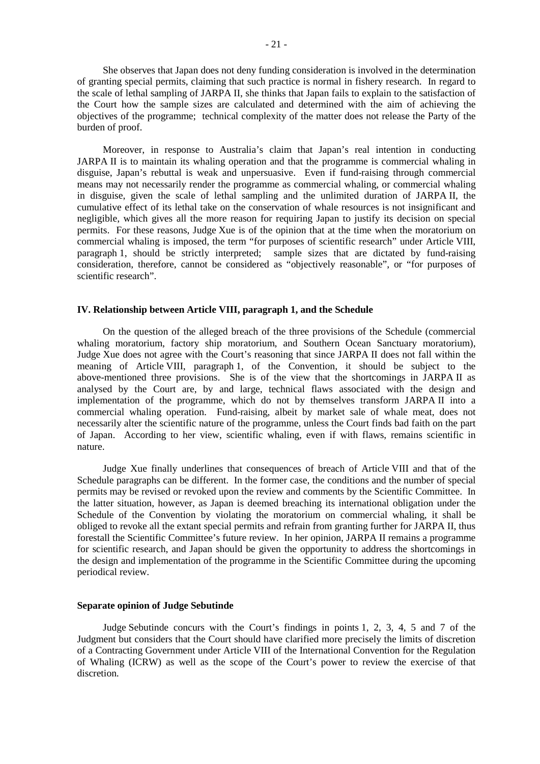She observes that Japan does not deny funding consideration is involved in the determination of granting special permits, claiming that such practice is normal in fishery research. In regard to the scale of lethal sampling of JARPA II, she thinks that Japan fails to explain to the satisfaction of the Court how the sample sizes are calculated and determined with the aim of achieving the objectives of the programme; technical complexity of the matter does not release the Party of the burden of proof.

Moreover, in response to Australia's claim that Japan's real intention in conducting JARPA II is to maintain its whaling operation and that the programme is commercial whaling in disguise, Japan's rebuttal is weak and unpersuasive. Even if fund-raising through commercial means may not necessarily render the programme as commercial whaling, or commercial whaling in disguise, given the scale of lethal sampling and the unlimited duration of JARPA II, the cumulative effect of its lethal take on the conservation of whale resources is not insignificant and negligible, which gives all the more reason for requiring Japan to justify its decision on special permits. For these reasons, Judge Xue is of the opinion that at the time when the moratorium on commercial whaling is imposed, the term "for purposes of scientific research" under Article VIII, paragraph 1, should be strictly interpreted; sample sizes that are dictated by fund-raising consideration, therefore, cannot be considered as "objectively reasonable", or "for purposes of scientific research".

## **IV. Relationship between Article VIII, paragraph 1, and the Schedule**

On the question of the alleged breach of the three provisions of the Schedule (commercial whaling moratorium, factory ship moratorium, and Southern Ocean Sanctuary moratorium), Judge Xue does not agree with the Court's reasoning that since JARPA II does not fall within the meaning of Article VIII, paragraph 1, of the Convention, it should be subject to the above-mentioned three provisions. She is of the view that the shortcomings in JARPA II as analysed by the Court are, by and large, technical flaws associated with the design and implementation of the programme, which do not by themselves transform JARPA II into a commercial whaling operation. Fund-raising, albeit by market sale of whale meat, does not necessarily alter the scientific nature of the programme, unless the Court finds bad faith on the part of Japan. According to her view, scientific whaling, even if with flaws, remains scientific in nature.

Judge Xue finally underlines that consequences of breach of Article VIII and that of the Schedule paragraphs can be different. In the former case, the conditions and the number of special permits may be revised or revoked upon the review and comments by the Scientific Committee. In the latter situation, however, as Japan is deemed breaching its international obligation under the Schedule of the Convention by violating the moratorium on commercial whaling, it shall be obliged to revoke all the extant special permits and refrain from granting further for JARPA II, thus forestall the Scientific Committee's future review. In her opinion, JARPA II remains a programme for scientific research, and Japan should be given the opportunity to address the shortcomings in the design and implementation of the programme in the Scientific Committee during the upcoming periodical review.

#### **Separate opinion of Judge Sebutinde**

Judge Sebutinde concurs with the Court's findings in points 1, 2, 3, 4, 5 and 7 of the Judgment but considers that the Court should have clarified more precisely the limits of discretion of a Contracting Government under Article VIII of the International Convention for the Regulation of Whaling (ICRW) as well as the scope of the Court's power to review the exercise of that discretion.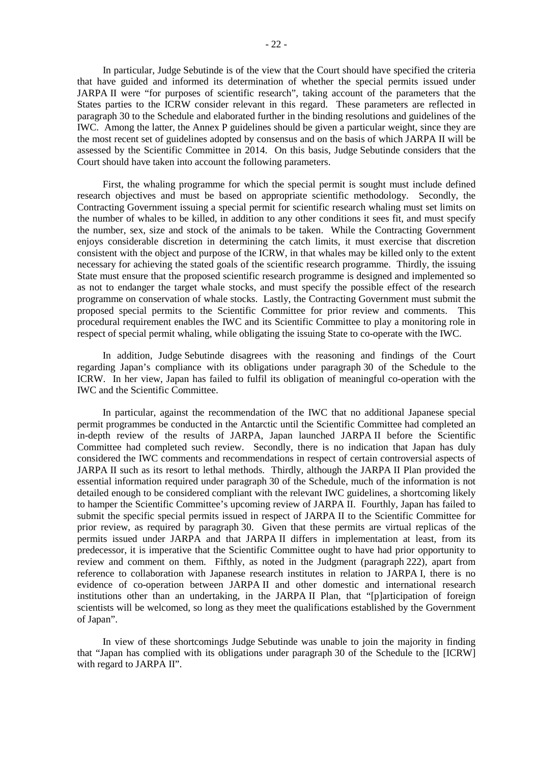In particular, Judge Sebutinde is of the view that the Court should have specified the criteria that have guided and informed its determination of whether the special permits issued under JARPA II were "for purposes of scientific research", taking account of the parameters that the States parties to the ICRW consider relevant in this regard. These parameters are reflected in paragraph 30 to the Schedule and elaborated further in the binding resolutions and guidelines of the IWC. Among the latter, the Annex P guidelines should be given a particular weight, since they are the most recent set of guidelines adopted by consensus and on the basis of which JARPA II will be assessed by the Scientific Committee in 2014. On this basis, Judge Sebutinde considers that the Court should have taken into account the following parameters.

First, the whaling programme for which the special permit is sought must include defined research objectives and must be based on appropriate scientific methodology. Secondly, the Contracting Government issuing a special permit for scientific research whaling must set limits on the number of whales to be killed, in addition to any other conditions it sees fit, and must specify the number, sex, size and stock of the animals to be taken. While the Contracting Government enjoys considerable discretion in determining the catch limits, it must exercise that discretion consistent with the object and purpose of the ICRW, in that whales may be killed only to the extent necessary for achieving the stated goals of the scientific research programme. Thirdly, the issuing State must ensure that the proposed scientific research programme is designed and implemented so as not to endanger the target whale stocks, and must specify the possible effect of the research programme on conservation of whale stocks. Lastly, the Contracting Government must submit the proposed special permits to the Scientific Committee for prior review and comments. This procedural requirement enables the IWC and its Scientific Committee to play a monitoring role in respect of special permit whaling, while obligating the issuing State to co-operate with the IWC.

In addition, Judge Sebutinde disagrees with the reasoning and findings of the Court regarding Japan's compliance with its obligations under paragraph 30 of the Schedule to the ICRW. In her view, Japan has failed to fulfil its obligation of meaningful co-operation with the IWC and the Scientific Committee.

In particular, against the recommendation of the IWC that no additional Japanese special permit programmes be conducted in the Antarctic until the Scientific Committee had completed an in-depth review of the results of JARPA, Japan launched JARPA II before the Scientific Committee had completed such review. Secondly, there is no indication that Japan has duly considered the IWC comments and recommendations in respect of certain controversial aspects of JARPA II such as its resort to lethal methods. Thirdly, although the JARPA II Plan provided the essential information required under paragraph 30 of the Schedule, much of the information is not detailed enough to be considered compliant with the relevant IWC guidelines, a shortcoming likely to hamper the Scientific Committee's upcoming review of JARPA II. Fourthly, Japan has failed to submit the specific special permits issued in respect of JARPA II to the Scientific Committee for prior review, as required by paragraph 30. Given that these permits are virtual replicas of the permits issued under JARPA and that JARPA II differs in implementation at least, from its predecessor, it is imperative that the Scientific Committee ought to have had prior opportunity to review and comment on them. Fifthly, as noted in the Judgment (paragraph 222), apart from reference to collaboration with Japanese research institutes in relation to JARPA I, there is no evidence of co-operation between JARPA II and other domestic and international research institutions other than an undertaking, in the JARPA II Plan, that "[p]articipation of foreign scientists will be welcomed, so long as they meet the qualifications established by the Government of Japan".

In view of these shortcomings Judge Sebutinde was unable to join the majority in finding that "Japan has complied with its obligations under paragraph 30 of the Schedule to the [ICRW] with regard to JARPA II".